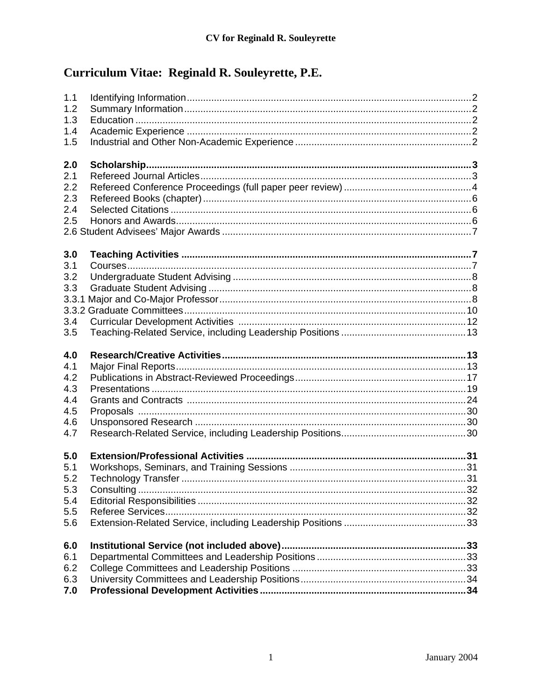# Curriculum Vitae: Reginald R. Souleyrette, P.E.

| 1.1<br>1.2<br>1.3<br>1.4<br>1.5<br>2.0<br>2.1<br>2.2<br>2.3<br>2.4<br>2.5 |  |
|---------------------------------------------------------------------------|--|
|                                                                           |  |
| 3.0<br>3.1<br>3.2<br>3.3<br>3.4<br>3.5                                    |  |
| 4.0<br>4.1<br>4.2<br>4.3<br>4.4<br>4.5<br>4.6<br>4.7                      |  |
| 5.0<br>5.1<br>5.2<br>5.3<br>5.4<br>5.5<br>5.6                             |  |
| 6.0<br>6.1                                                                |  |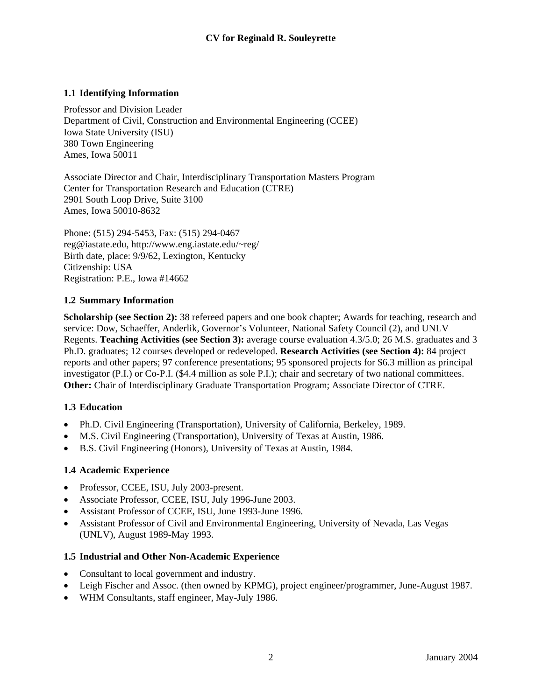# <span id="page-1-0"></span>**1.1 Identifying Information**

Professor and Division Leader Department of Civil, Construction and Environmental Engineering (CCEE) Iowa State University (ISU) 380 Town Engineering Ames, Iowa 50011

Associate Director and Chair, Interdisciplinary Transportation Masters Program Center for Transportation Research and Education (CTRE) 2901 South Loop Drive, Suite 3100 Ames, Iowa 50010-8632

Phone: (515) 294-5453, Fax: (515) 294-0467 [reg@iastate.edu,](mailto:reg@iastate.edu) [http://www.eng.iastate.edu/~reg/](http://www.eng.iastate.edu/~reg) Birth date, place: 9/9/62, Lexington, Kentucky Citizenship: USA Registration: P.E., Iowa #14662

## **1.2 Summary Information**

**Scholarship (see Section 2):** 38 refereed papers and one book chapter; Awards for teaching, research and service: Dow, Schaeffer, Anderlik, Governor's Volunteer, National Safety Council (2), and UNLV Regents. **Teaching Activities (see Section 3):** average course evaluation 4.3/5.0; 26 M.S. graduates and 3 Ph.D. graduates; 12 courses developed or redeveloped. **Research Activities (see Section 4):** 84 project reports and other papers; 97 conference presentations; 95 sponsored projects for \$6.3 million as principal investigator (P.I.) or Co-P.I. (\$4.4 million as sole P.I.); chair and secretary of two national committees. **Other:** Chair of Interdisciplinary Graduate Transportation Program; Associate Director of CTRE.

## **1.3 Education**

- Ph.D. Civil Engineering (Transportation), University of California, Berkeley, 1989.
- M.S. Civil Engineering (Transportation), University of Texas at Austin, 1986.
- B.S. Civil Engineering (Honors), University of Texas at Austin, 1984.

## **1.4 Academic Experience**

- Professor, CCEE, ISU, July 2003-present.
- Associate Professor, CCEE, ISU, July 1996-June 2003.
- Assistant Professor of CCEE, ISU, June 1993-June 1996.
- Assistant Professor of Civil and Environmental Engineering, University of Nevada, Las Vegas (UNLV), August 1989-May 1993.

## **1.5 Industrial and Other Non-Academic Experience**

- Consultant to local government and industry.
- Leigh Fischer and Assoc. (then owned by KPMG), project engineer/programmer, June-August 1987.
- WHM Consultants, staff engineer, May-July 1986.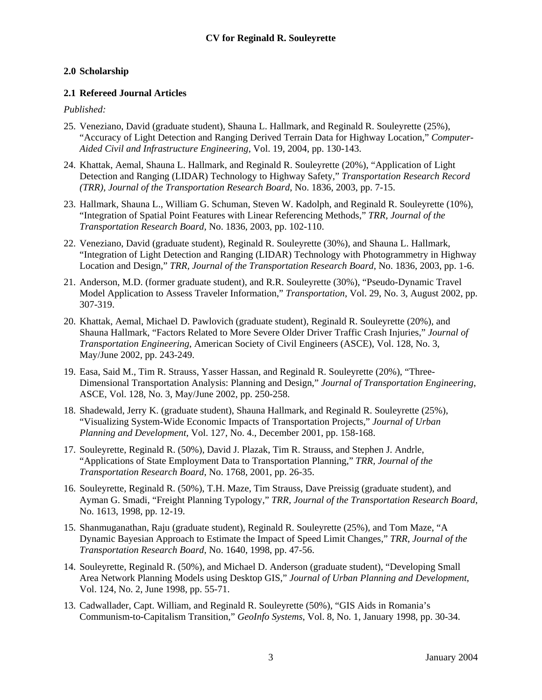## <span id="page-2-0"></span>**2.0 Scholarship**

#### **2.1 Refereed Journal Articles**

#### *Published:*

- 25. Veneziano, David (graduate student), Shauna L. Hallmark, and Reginald R. Souleyrette (25%), "Accuracy of Light Detection and Ranging Derived Terrain Data for Highway Location," *Computer-Aided Civil and Infrastructure Engineering,* Vol. 19, 2004, pp. 130-143.
- 24. Khattak, Aemal, Shauna L. Hallmark, and Reginald R. Souleyrette (20%), "Application of Light Detection and Ranging (LIDAR) Technology to Highway Safety," *Transportation Research Record (TRR)*, *Journal of the Transportation Research Board*, No. 1836, 2003, pp. 7-15.
- 23. Hallmark, Shauna L., William G. Schuman, Steven W. Kadolph, and Reginald R. Souleyrette (10%), "Integration of Spatial Point Features with Linear Referencing Methods," *TRR, Journal of the Transportation Research Board,* No. 1836, 2003, pp. 102-110.
- 22. Veneziano, David (graduate student), Reginald R. Souleyrette (30%), and Shauna L. Hallmark, "Integration of Light Detection and Ranging (LIDAR) Technology with Photogrammetry in Highway Location and Design," *TRR, Journal of the Transportation Research Board*, No. 1836, 2003, pp. 1-6.
- 21. Anderson, M.D. (former graduate student), and R.R. Souleyrette (30%), "Pseudo-Dynamic Travel Model Application to Assess Traveler Information," *Transportation*, Vol. 29, No. 3, August 2002, pp. 307-319.
- 20. Khattak, Aemal, Michael D. Pawlovich (graduate student), Reginald R. Souleyrette (20%), and Shauna Hallmark, "Factors Related to More Severe Older Driver Traffic Crash Injuries," *Journal of Transportation Engineering*, American Society of Civil Engineers (ASCE), Vol. 128, No. 3, May/June 2002, pp. 243-249.
- 19. Easa, Said M., Tim R. Strauss, Yasser Hassan, and Reginald R. Souleyrette (20%), "Three-Dimensional Transportation Analysis: Planning and Design," *Journal of Transportation Engineering*, ASCE, Vol. 128, No. 3, May/June 2002, pp. 250-258.
- 18. Shadewald, Jerry K. (graduate student), Shauna Hallmark, and Reginald R. Souleyrette (25%), "Visualizing System-Wide Economic Impacts of Transportation Projects," *Journal of Urban Planning and Development*, Vol. 127, No. 4., December 2001, pp. 158-168.
- 17. Souleyrette, Reginald R. (50%), David J. Plazak, Tim R. Strauss, and Stephen J. Andrle, "Applications of State Employment Data to Transportation Planning," *TRR, Journal of the Transportation Research Board*, No. 1768, 2001, pp. 26-35.
- 16. Souleyrette, Reginald R. (50%), T.H. Maze, Tim Strauss, Dave Preissig (graduate student), and Ayman G. Smadi, "Freight Planning Typology," *TRR, Journal of the Transportation Research Board*, No. 1613, 1998, pp. 12-19.
- 15. Shanmuganathan, Raju (graduate student), Reginald R. Souleyrette (25%), and Tom Maze, "A Dynamic Bayesian Approach to Estimate the Impact of Speed Limit Changes," *TRR, Journal of the Transportation Research Board*, No. 1640, 1998, pp. 47-56.
- 14. Souleyrette, Reginald R. (50%), and Michael D. Anderson (graduate student), "Developing Small Area Network Planning Models using Desktop GIS," *Journal of Urban Planning and Development*, Vol. 124, No. 2, June 1998, pp. 55-71.
- 13. Cadwallader, Capt. William, and Reginald R. Souleyrette (50%), "GIS Aids in Romania's Communism-to-Capitalism Transition," *GeoInfo Systems*, Vol. 8, No. 1, January 1998, pp. 30-34.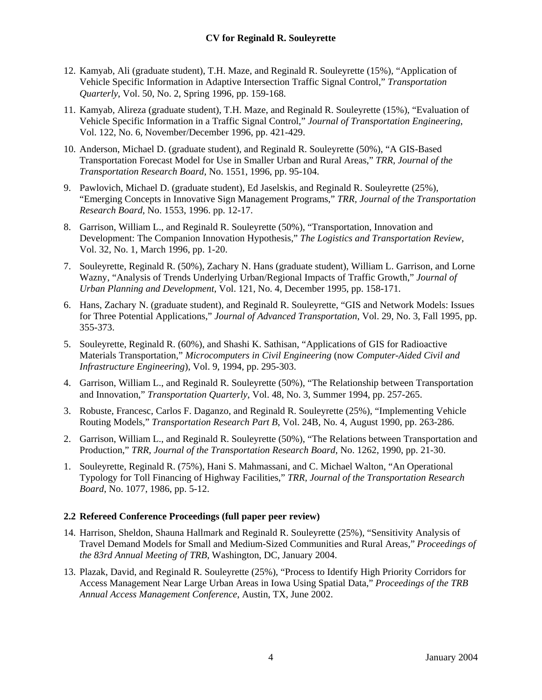- <span id="page-3-0"></span>12. Kamyab, Ali (graduate student), T.H. Maze, and Reginald R. Souleyrette (15%), "Application of Vehicle Specific Information in Adaptive Intersection Traffic Signal Control," *Transportation Quarterly*, Vol. 50, No. 2, Spring 1996, pp. 159-168.
- 11. Kamyab, Alireza (graduate student), T.H. Maze, and Reginald R. Souleyrette (15%), "Evaluation of Vehicle Specific Information in a Traffic Signal Control," *Journal of Transportation Engineering*, Vol. 122, No. 6, November/December 1996, pp. 421-429.
- 10. Anderson, Michael D. (graduate student), and Reginald R. Souleyrette (50%), "A GIS-Based Transportation Forecast Model for Use in Smaller Urban and Rural Areas," *TRR, Journal of the Transportation Research Board*, No. 1551, 1996, pp. 95-104.
- 9. Pawlovich, Michael D. (graduate student), Ed Jaselskis, and Reginald R. Souleyrette (25%), "Emerging Concepts in Innovative Sign Management Programs," *TRR, Journal of the Transportation Research Board*, No. 1553, 1996. pp. 12-17.
- 8. Garrison, William L., and Reginald R. Souleyrette (50%), "Transportation, Innovation and Development: The Companion Innovation Hypothesis," *The Logistics and Transportation Review*, Vol. 32, No. 1, March 1996, pp. 1-20.
- 7. Souleyrette, Reginald R. (50%), Zachary N. Hans (graduate student), William L. Garrison, and Lorne Wazny, "Analysis of Trends Underlying Urban/Regional Impacts of Traffic Growth," *Journal of Urban Planning and Development*, Vol. 121, No. 4, December 1995, pp. 158-171.
- 6. Hans, Zachary N. (graduate student), and Reginald R. Souleyrette, "GIS and Network Models: Issues for Three Potential Applications," *Journal of Advanced Transportation*, Vol. 29, No. 3, Fall 1995, pp. 355-373.
- 5. Souleyrette, Reginald R. (60%), and Shashi K. Sathisan, "Applications of GIS for Radioactive Materials Transportation," *Microcomputers in Civil Engineering* (now *Computer-Aided Civil and Infrastructure Engineering*), Vol. 9, 1994, pp. 295-303.
- 4. Garrison, William L., and Reginald R. Souleyrette (50%), "The Relationship between Transportation and Innovation," *Transportation Quarterly*, Vol. 48, No. 3, Summer 1994, pp. 257-265.
- 3. Robuste, Francesc, Carlos F. Daganzo, and Reginald R. Souleyrette (25%), "Implementing Vehicle Routing Models," *Transportation Research Part B*, Vol. 24B, No. 4, August 1990, pp. 263-286.
- 2. Garrison, William L., and Reginald R. Souleyrette (50%), "The Relations between Transportation and Production," *TRR, Journal of the Transportation Research Board*, No. 1262, 1990, pp. 21-30.
- 1. Souleyrette, Reginald R. (75%), Hani S. Mahmassani, and C. Michael Walton, "An Operational Typology for Toll Financing of Highway Facilities," *TRR, Journal of the Transportation Research Board*, No. 1077, 1986, pp. 5-12.

## **2.2 Refereed Conference Proceedings (full paper peer review)**

- 14. Harrison, Sheldon, Shauna Hallmark and Reginald R. Souleyrette (25%), "Sensitivity Analysis of Travel Demand Models for Small and Medium-Sized Communities and Rural Areas," *Proceedings of the 83rd Annual Meeting of TRB*, Washington, DC, January 2004.
- 13. Plazak, David, and Reginald R. Souleyrette (25%), "Process to Identify High Priority Corridors for Access Management Near Large Urban Areas in Iowa Using Spatial Data," *Proceedings of the TRB Annual Access Management Conference*, Austin, TX, June 2002.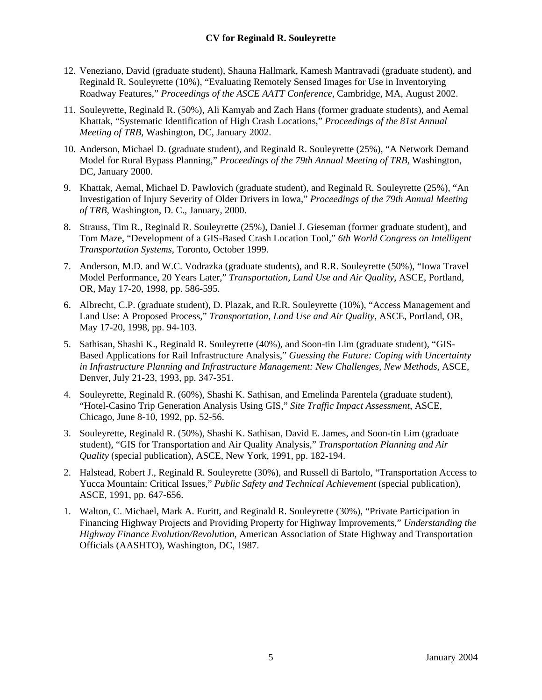- 12. Veneziano, David (graduate student), Shauna Hallmark, Kamesh Mantravadi (graduate student), and Reginald R. Souleyrette (10%), "Evaluating Remotely Sensed Images for Use in Inventorying Roadway Features," *Proceedings of the ASCE AATT Conference*, Cambridge, MA, August 2002.
- 11. Souleyrette, Reginald R. (50%), Ali Kamyab and Zach Hans (former graduate students), and Aemal Khattak, "Systematic Identification of High Crash Locations," *Proceedings of the 81st Annual Meeting of TRB*, Washington, DC, January 2002.
- 10. Anderson, Michael D. (graduate student), and Reginald R. Souleyrette (25%), "A Network Demand Model for Rural Bypass Planning," *Proceedings of the 79th Annual Meeting of TRB*, Washington, DC, January 2000.
- 9. Khattak, Aemal, Michael D. Pawlovich (graduate student), and Reginald R. Souleyrette (25%), "An Investigation of Injury Severity of Older Drivers in Iowa," *Proceedings of the 79th Annual Meeting of TRB*, Washington, D. C., January, 2000.
- 8. Strauss, Tim R., Reginald R. Souleyrette (25%), Daniel J. Gieseman (former graduate student), and Tom Maze, "Development of a GIS-Based Crash Location Tool," *6th World Congress on Intelligent Transportation Systems*, Toronto, October 1999.
- 7. Anderson, M.D. and W.C. Vodrazka (graduate students), and R.R. Souleyrette (50%), "Iowa Travel Model Performance, 20 Years Later," *Transportation, Land Use and Air Quality*, ASCE, Portland, OR, May 17-20, 1998, pp. 586-595.
- 6. Albrecht, C.P. (graduate student), D. Plazak, and R.R. Souleyrette (10%), "Access Management and Land Use: A Proposed Process," *Transportation, Land Use and Air Quality*, ASCE, Portland, OR, May 17-20, 1998, pp. 94-103.
- 5. Sathisan, Shashi K., Reginald R. Souleyrette (40%), and Soon-tin Lim (graduate student), "GIS-Based Applications for Rail Infrastructure Analysis," *Guessing the Future: Coping with Uncertainty in Infrastructure Planning and Infrastructure Management: New Challenges, New Methods*, ASCE, Denver, July 21-23, 1993, pp. 347-351.
- 4. Souleyrette, Reginald R. (60%), Shashi K. Sathisan, and Emelinda Parentela (graduate student), "Hotel-Casino Trip Generation Analysis Using GIS," *Site Traffic Impact Assessment*, ASCE, Chicago, June 8-10, 1992, pp. 52-56.
- 3. Souleyrette, Reginald R. (50%), Shashi K. Sathisan, David E. James, and Soon-tin Lim (graduate student), "GIS for Transportation and Air Quality Analysis," *Transportation Planning and Air Quality* (special publication), ASCE, New York, 1991, pp. 182-194.
- 2. Halstead, Robert J., Reginald R. Souleyrette (30%), and Russell di Bartolo, "Transportation Access to Yucca Mountain: Critical Issues," *Public Safety and Technical Achievement* (special publication), ASCE, 1991, pp. 647-656.
- 1. Walton, C. Michael, Mark A. Euritt, and Reginald R. Souleyrette (30%), "Private Participation in Financing Highway Projects and Providing Property for Highway Improvements," *Understanding the Highway Finance Evolution/Revolution*, American Association of State Highway and Transportation Officials (AASHTO), Washington, DC, 1987.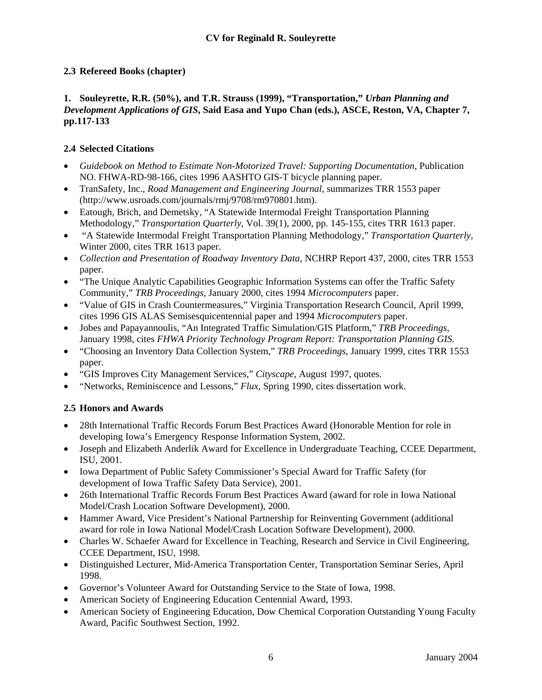# <span id="page-5-0"></span>**2.3 Refereed Books (chapter)**

## **1. Souleyrette, R.R. (50%), and T.R. Strauss (1999), "Transportation,"** *Urban Planning and Development Applications of GIS***, Said Easa and Yupo Chan (eds.), ASCE, Reston, VA, Chapter 7, pp.117-133**

# **2.4 Selected Citations**

- *Guidebook on Method to Estimate Non-Motorized Travel: Supporting Documentation*, Publication NO. FHWA-RD-98-166, cites 1996 AASHTO GIS-T bicycle planning paper.
- TranSafety, Inc., *Road Management and Engineering Journal*, summarizes TRR 1553 paper ([http://www.usroads.com/journals/rmj/9708/rm970801.htm\)](http://www.usroads.com/journals/rmj/9708/rm970801.htm).
- Eatough, Brich, and Demetsky, "A Statewide Intermodal Freight Transportation Planning Methodology," *Transportation Quarterly*, Vol. 39(1), 2000, pp. 145-155, cites TRR 1613 paper.
- "A Statewide Intermodal Freight Transportation Planning Methodology," *Transportation Quarterly,*  Winter 2000, cites TRR 1613 paper.
- *Collection and Presentation of Roadway Inventory Data*, NCHRP Report 437, 2000, cites TRR 1553 paper.
- "The Unique Analytic Capabilities Geographic Information Systems can offer the Traffic Safety Community," *TRB Proceedings*, January 2000, cites 1994 *Microcomputers* paper.
- "Value of GIS in Crash Countermeasures," Virginia Transportation Research Council, April 1999, cites 1996 GIS ALAS Semisesquicentennial paper and 1994 *Microcomputers* paper.
- Jobes and Papayannoulis, "An Integrated Traffic Simulation/GIS Platform," *TRB Proceedings*, January 1998, cites *FHWA Priority Technology Program Report: Transportation Planning GIS.*
- "Choosing an Inventory Data Collection System," *TRB Proceedings*, January 1999, cites TRR 1553 paper.
- "GIS Improves City Management Services," *Cityscape*, August 1997, quotes.
- "Networks, Reminiscence and Lessons," *Flux*, Spring 1990, cites dissertation work.

# **2.5 Honors and Awards**

- 28th International Traffic Records Forum Best Practices Award (Honorable Mention for role in developing Iowa's Emergency Response Information System, 2002.
- Joseph and Elizabeth Anderlik Award for Excellence in Undergraduate Teaching, CCEE Department, ISU, 2001.
- Iowa Department of Public Safety Commissioner's Special Award for Traffic Safety (for development of Iowa Traffic Safety Data Service), 2001.
- 26th International Traffic Records Forum Best Practices Award (award for role in Iowa National Model/Crash Location Software Development), 2000.
- Hammer Award, Vice President's National Partnership for Reinventing Government (additional award for role in Iowa National Model/Crash Location Software Development), 2000.
- Charles W. Schaefer Award for Excellence in Teaching, Research and Service in Civil Engineering, CCEE Department, ISU, 1998.
- Distinguished Lecturer, Mid-America Transportation Center, Transportation Seminar Series, April 1998.
- Governor's Volunteer Award for Outstanding Service to the State of Iowa, 1998.
- American Society of Engineering Education Centennial Award, 1993.
- American Society of Engineering Education, Dow Chemical Corporation Outstanding Young Faculty Award, Pacific Southwest Section, 1992.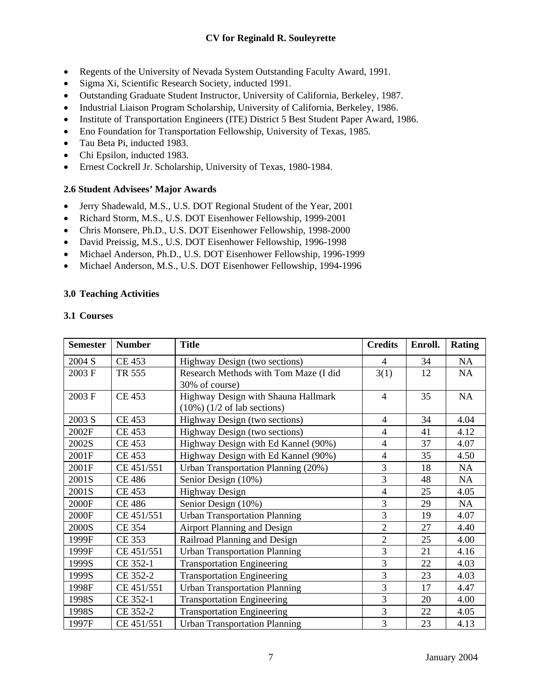- <span id="page-6-0"></span>• Regents of the University of Nevada System Outstanding Faculty Award, 1991.
- Sigma Xi, Scientific Research Society, inducted 1991.
- Outstanding Graduate Student Instructor, University of California, Berkeley, 1987.
- Industrial Liaison Program Scholarship, University of California, Berkeley, 1986.
- Institute of Transportation Engineers (ITE) District 5 Best Student Paper Award, 1986.
- Eno Foundation for Transportation Fellowship, University of Texas, 1985.
- Tau Beta Pi, inducted 1983.
- Chi Epsilon, inducted 1983.
- Ernest Cockrell Jr. Scholarship, University of Texas, 1980-1984.

## **2.6 Student Advisees' Major Awards**

- Jerry Shadewald, M.S., U.S. DOT Regional Student of the Year, 2001
- Richard Storm, M.S., U.S. DOT Eisenhower Fellowship, 1999-2001
- Chris Monsere, Ph.D., U.S. DOT Eisenhower Fellowship, 1998-2000
- David Preissig, M.S., U.S. DOT Eisenhower Fellowship, 1996-1998
- Michael Anderson, Ph.D., U.S. DOT Eisenhower Fellowship, 1996-1999
- Michael Anderson, M.S., U.S. DOT Eisenhower Fellowship, 1994-1996

## **3.0 Teaching Activities**

## **3.1 Courses**

| <b>Semester</b> | <b>Number</b> | <b>Title</b>                                                                    | <b>Credits</b> | Enroll. | <b>Rating</b> |
|-----------------|---------------|---------------------------------------------------------------------------------|----------------|---------|---------------|
| 2004 S          | <b>CE 453</b> | Highway Design (two sections)                                                   | $\overline{4}$ | 34      | NA            |
| 2003 F          | TR 555        | Research Methods with Tom Maze (I did<br>30% of course)                         | 3(1)           | 12      | NA            |
| 2003 F          | <b>CE 453</b> | Highway Design with Shauna Hallmark<br>$(10\%)$ $(1/2 \text{ of lab sections})$ | $\overline{4}$ | 35      | <b>NA</b>     |
| 2003 S          | <b>CE 453</b> | Highway Design (two sections)                                                   | $\overline{4}$ | 34      | 4.04          |
| 2002F           | CE 453        | Highway Design (two sections)                                                   | $\overline{4}$ | 41      | 4.12          |
| 2002S           | <b>CE 453</b> | Highway Design with Ed Kannel (90%)                                             | $\overline{4}$ | 37      | 4.07          |
| 2001F           | CE 453        | Highway Design with Ed Kannel (90%)                                             | $\overline{4}$ | 35      | 4.50          |
| 2001F           | CE 451/551    | Urban Transportation Planning (20%)                                             | 3              | 18      | NA            |
| 2001S           | <b>CE 486</b> | Senior Design (10%)                                                             | 3              | 48      | NA            |
| 2001S           | CE 453        | <b>Highway Design</b>                                                           | $\overline{4}$ | 25      | 4.05          |
| 2000F           | <b>CE 486</b> | Senior Design (10%)                                                             | 3              | 29      | <b>NA</b>     |
| 2000F           | CE 451/551    | <b>Urban Transportation Planning</b>                                            | 3              | 19      | 4.07          |
| 2000S           | CE 354        | <b>Airport Planning and Design</b>                                              | $\overline{2}$ | 27      | 4.40          |
| 1999F           | CE 353        | Railroad Planning and Design                                                    | $\overline{2}$ | 25      | 4.00          |
| 1999F           | CE 451/551    | <b>Urban Transportation Planning</b>                                            | 3              | 21      | 4.16          |
| 1999S           | CE 352-1      | <b>Transportation Engineering</b>                                               | 3              | 22      | 4.03          |
| 1999S           | CE 352-2      | <b>Transportation Engineering</b>                                               | 3              | 23      | 4.03          |
| 1998F           | CE 451/551    | <b>Urban Transportation Planning</b>                                            | 3              | 17      | 4.47          |
| 1998S           | CE 352-1      | <b>Transportation Engineering</b>                                               | 3              | 20      | 4.00          |
| 1998S           | CE 352-2      | <b>Transportation Engineering</b>                                               | 3              | 22      | 4.05          |
| 1997F           | CE 451/551    | <b>Urban Transportation Planning</b>                                            | 3              | 23      | 4.13          |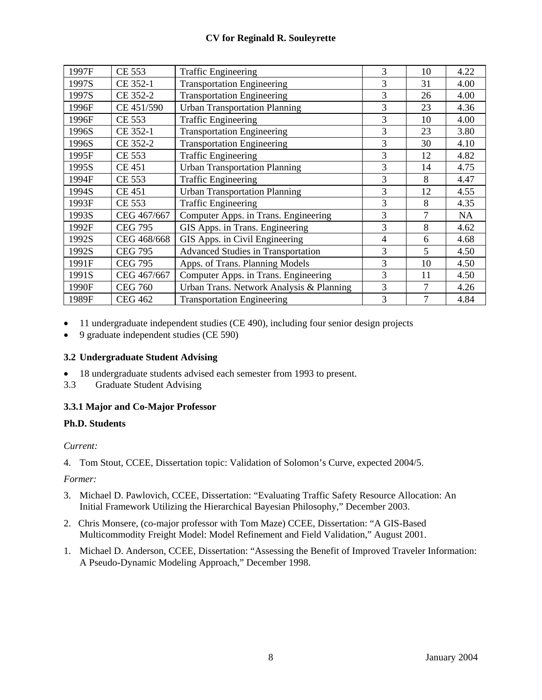## **CV for Reginald R. Souleyrette**

<span id="page-7-0"></span>

| 1997F | CE 553         | <b>Traffic Engineering</b>                | 3              | 10     | 4.22      |
|-------|----------------|-------------------------------------------|----------------|--------|-----------|
| 1997S | CE 352-1       | <b>Transportation Engineering</b>         | 3              | 31     | 4.00      |
| 1997S | CE 352-2       | <b>Transportation Engineering</b>         | 3              | 26     | 4.00      |
| 1996F | CE 451/590     | <b>Urban Transportation Planning</b>      | 3              | 23     | 4.36      |
| 1996F | CE 553         | <b>Traffic Engineering</b>                | $\overline{3}$ | 10     | 4.00      |
| 1996S | CE 352-1       | <b>Transportation Engineering</b>         | 3              | 23     | 3.80      |
| 1996S | CE 352-2       | <b>Transportation Engineering</b>         | 3              | 30     | 4.10      |
| 1995F | CE 553         | <b>Traffic Engineering</b>                | 3              | 12     | 4.82      |
| 1995S | <b>CE 451</b>  | <b>Urban Transportation Planning</b>      | 3              | 14     | 4.75      |
| 1994F | CE 553         | <b>Traffic Engineering</b>                | $\overline{3}$ | 8      | 4.47      |
| 1994S | <b>CE 451</b>  | <b>Urban Transportation Planning</b>      | 3              | 12     | 4.55      |
| 1993F | <b>CE 553</b>  | <b>Traffic Engineering</b>                | $\overline{3}$ | 8      | 4.35      |
| 1993S | CEG 467/667    | Computer Apps. in Trans. Engineering      | 3              | 7      | <b>NA</b> |
| 1992F | <b>CEG 795</b> | GIS Apps. in Trans. Engineering           | 3              | 8      | 4.62      |
| 1992S | CEG 468/668    | GIS Apps. in Civil Engineering            | 4              | 6      | 4.68      |
| 1992S | <b>CEG 795</b> | <b>Advanced Studies in Transportation</b> | 3              | 5      | 4.50      |
| 1991F | <b>CEG 795</b> | Apps. of Trans. Planning Models           | 3              | 10     | 4.50      |
| 1991S | CEG 467/667    | Computer Apps. in Trans. Engineering      | 3              | 11     | 4.50      |
| 1990F | <b>CEG 760</b> | Urban Trans. Network Analysis & Planning  | 3              | $\tau$ | 4.26      |
| 1989F | <b>CEG 462</b> | <b>Transportation Engineering</b>         | 3              | 7      | 4.84      |

- 11 undergraduate independent studies (CE 490), including four senior design projects
- 9 graduate independent studies (CE 590)

## **3.2 Undergraduate Student Advising**

- 18 undergraduate students advised each semester from 1993 to present.
- 3.3 Graduate Student Advising

## **3.3.1 Major and Co-Major Professor**

#### **Ph.D. Students**

#### *Current:*

4. Tom Stout, CCEE, Dissertation topic: Validation of Solomon's Curve, expected 2004/5.

- 3. Michael D. Pawlovich, CCEE, Dissertation: "Evaluating Traffic Safety Resource Allocation: An Initial Framework Utilizing the Hierarchical Bayesian Philosophy," December 2003.
- 2. Chris Monsere, (co-major professor with Tom Maze) CCEE, Dissertation: "A GIS-Based Multicommodity Freight Model: Model Refinement and Field Validation," August 2001.
- 1. Michael D. Anderson, CCEE, Dissertation: "Assessing the Benefit of Improved Traveler Information: A Pseudo-Dynamic Modeling Approach," December 1998.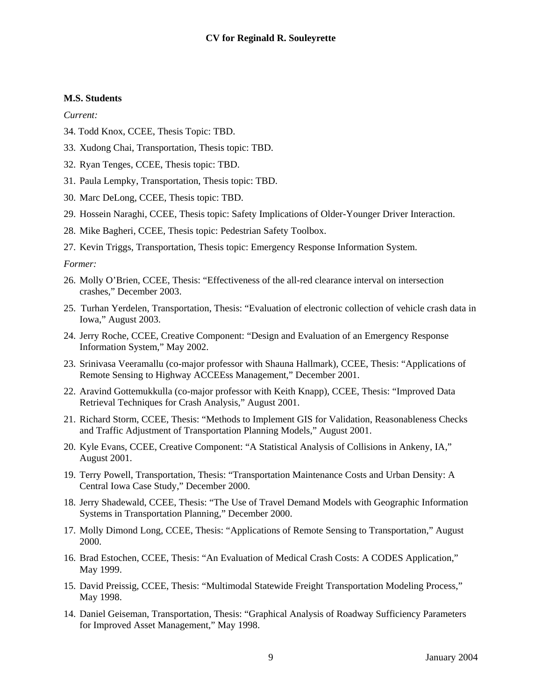#### **M.S. Students**

*Current:* 

- 34. Todd Knox, CCEE, Thesis Topic: TBD.
- 33. Xudong Chai, Transportation, Thesis topic: TBD.
- 32. Ryan Tenges, CCEE, Thesis topic: TBD.
- 31. Paula Lempky, Transportation, Thesis topic: TBD.
- 30. Marc DeLong, CCEE, Thesis topic: TBD.
- 29. Hossein Naraghi, CCEE, Thesis topic: Safety Implications of Older-Younger Driver Interaction.
- 28. Mike Bagheri, CCEE, Thesis topic: Pedestrian Safety Toolbox.
- 27. Kevin Triggs, Transportation, Thesis topic: Emergency Response Information System.

- 26. Molly O'Brien, CCEE, Thesis: "Effectiveness of the all-red clearance interval on intersection crashes," December 2003.
- 25. Turhan Yerdelen, Transportation, Thesis: "Evaluation of electronic collection of vehicle crash data in Iowa," August 2003.
- 24. Jerry Roche, CCEE, Creative Component: "Design and Evaluation of an Emergency Response Information System," May 2002.
- 23. Srinivasa Veeramallu (co-major professor with Shauna Hallmark), CCEE, Thesis: "Applications of Remote Sensing to Highway ACCEEss Management," December 2001.
- 22. Aravind Gottemukkulla (co-major professor with Keith Knapp), CCEE, Thesis: "Improved Data Retrieval Techniques for Crash Analysis," August 2001.
- 21. Richard Storm, CCEE, Thesis: "Methods to Implement GIS for Validation, Reasonableness Checks and Traffic Adjustment of Transportation Planning Models," August 2001.
- 20. Kyle Evans, CCEE, Creative Component: "A Statistical Analysis of Collisions in Ankeny, IA," August 2001.
- 19. Terry Powell, Transportation, Thesis: "Transportation Maintenance Costs and Urban Density: A Central Iowa Case Study," December 2000.
- 18. Jerry Shadewald, CCEE, Thesis: "The Use of Travel Demand Models with Geographic Information Systems in Transportation Planning," December 2000.
- 17. Molly Dimond Long, CCEE, Thesis: "Applications of Remote Sensing to Transportation," August 2000.
- 16. Brad Estochen, CCEE, Thesis: "An Evaluation of Medical Crash Costs: A CODES Application," May 1999.
- 15. David Preissig, CCEE, Thesis: "Multimodal Statewide Freight Transportation Modeling Process," May 1998.
- 14. Daniel Geiseman, Transportation, Thesis: "Graphical Analysis of Roadway Sufficiency Parameters for Improved Asset Management," May 1998.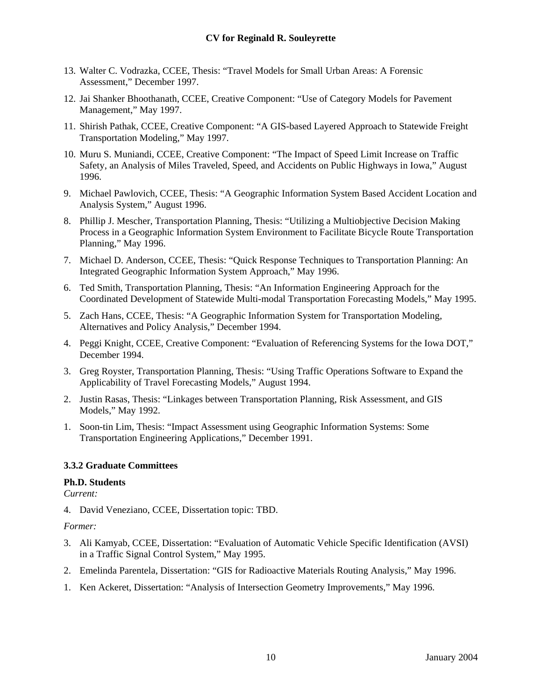- <span id="page-9-0"></span>13. Walter C. Vodrazka, CCEE, Thesis: "Travel Models for Small Urban Areas: A Forensic Assessment," December 1997.
- 12. Jai Shanker Bhoothanath, CCEE, Creative Component: "Use of Category Models for Pavement Management," May 1997.
- 11. Shirish Pathak, CCEE, Creative Component: "A GIS-based Layered Approach to Statewide Freight Transportation Modeling," May 1997.
- 10. Muru S. Muniandi, CCEE, Creative Component: "The Impact of Speed Limit Increase on Traffic Safety, an Analysis of Miles Traveled, Speed, and Accidents on Public Highways in Iowa," August 1996.
- 9. Michael Pawlovich, CCEE, Thesis: "A Geographic Information System Based Accident Location and Analysis System," August 1996.
- 8. Phillip J. Mescher, Transportation Planning, Thesis: "Utilizing a Multiobjective Decision Making Process in a Geographic Information System Environment to Facilitate Bicycle Route Transportation Planning," May 1996.
- 7. Michael D. Anderson, CCEE, Thesis: "Quick Response Techniques to Transportation Planning: An Integrated Geographic Information System Approach," May 1996.
- 6. Ted Smith, Transportation Planning, Thesis: "An Information Engineering Approach for the Coordinated Development of Statewide Multi-modal Transportation Forecasting Models," May 1995.
- 5. Zach Hans, CCEE, Thesis: "A Geographic Information System for Transportation Modeling, Alternatives and Policy Analysis," December 1994.
- 4. Peggi Knight, CCEE, Creative Component: "Evaluation of Referencing Systems for the Iowa DOT," December 1994.
- 3. Greg Royster, Transportation Planning, Thesis: "Using Traffic Operations Software to Expand the Applicability of Travel Forecasting Models," August 1994.
- 2. Justin Rasas, Thesis: "Linkages between Transportation Planning, Risk Assessment, and GIS Models," May 1992.
- 1. Soon-tin Lim, Thesis: "Impact Assessment using Geographic Information Systems: Some Transportation Engineering Applications," December 1991.

#### **3.3.2 Graduate Committees**

#### **Ph.D. Students**

*Current:* 

4. David Veneziano, CCEE, Dissertation topic: TBD.

- 3. Ali Kamyab, CCEE, Dissertation: "Evaluation of Automatic Vehicle Specific Identification (AVSI) in a Traffic Signal Control System," May 1995.
- 2. Emelinda Parentela, Dissertation: "GIS for Radioactive Materials Routing Analysis," May 1996.
- 1. Ken Ackeret, Dissertation: "Analysis of Intersection Geometry Improvements," May 1996.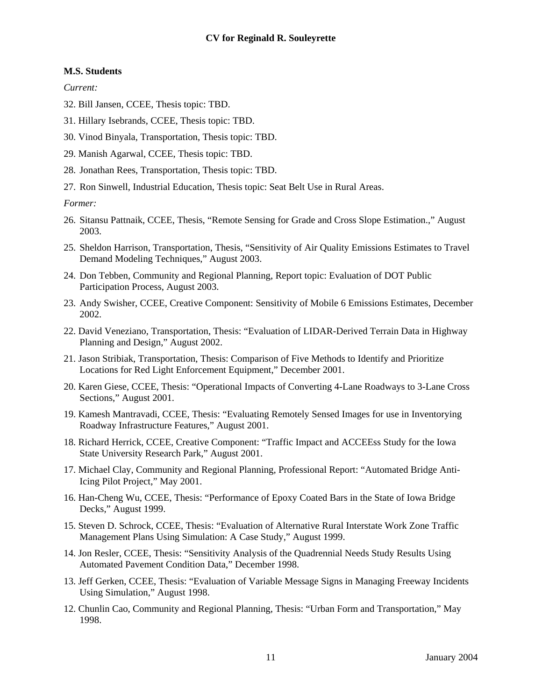## **M.S. Students**

*Current:* 

- 32. Bill Jansen, CCEE, Thesis topic: TBD.
- 31. Hillary Isebrands, CCEE, Thesis topic: TBD.
- 30. Vinod Binyala, Transportation, Thesis topic: TBD.
- 29. Manish Agarwal, CCEE, Thesis topic: TBD.
- 28. Jonathan Rees, Transportation, Thesis topic: TBD.
- 27. Ron Sinwell, Industrial Education, Thesis topic: Seat Belt Use in Rural Areas.

- 26. Sitansu Pattnaik, CCEE, Thesis, "Remote Sensing for Grade and Cross Slope Estimation.," August 2003.
- 25. Sheldon Harrison, Transportation, Thesis, "Sensitivity of Air Quality Emissions Estimates to Travel Demand Modeling Techniques," August 2003.
- 24. Don Tebben, Community and Regional Planning, Report topic: Evaluation of DOT Public Participation Process, August 2003.
- 23. Andy Swisher, CCEE, Creative Component: Sensitivity of Mobile 6 Emissions Estimates, December 2002.
- 22. David Veneziano, Transportation, Thesis: "Evaluation of LIDAR-Derived Terrain Data in Highway Planning and Design," August 2002.
- 21. Jason Stribiak, Transportation, Thesis: Comparison of Five Methods to Identify and Prioritize Locations for Red Light Enforcement Equipment," December 2001.
- 20. Karen Giese, CCEE, Thesis: "Operational Impacts of Converting 4-Lane Roadways to 3-Lane Cross Sections," August 2001.
- 19. Kamesh Mantravadi, CCEE, Thesis: "Evaluating Remotely Sensed Images for use in Inventorying Roadway Infrastructure Features," August 2001.
- 18. Richard Herrick, CCEE, Creative Component: "Traffic Impact and ACCEEss Study for the Iowa State University Research Park," August 2001.
- 17. Michael Clay, Community and Regional Planning, Professional Report: "Automated Bridge Anti-Icing Pilot Project," May 2001.
- 16. Han-Cheng Wu, CCEE, Thesis: "Performance of Epoxy Coated Bars in the State of Iowa Bridge Decks," August 1999.
- 15. Steven D. Schrock, CCEE, Thesis: "Evaluation of Alternative Rural Interstate Work Zone Traffic Management Plans Using Simulation: A Case Study," August 1999.
- 14. Jon Resler, CCEE, Thesis: "Sensitivity Analysis of the Quadrennial Needs Study Results Using Automated Pavement Condition Data," December 1998.
- 13. Jeff Gerken, CCEE, Thesis: "Evaluation of Variable Message Signs in Managing Freeway Incidents Using Simulation," August 1998.
- 12. Chunlin Cao, Community and Regional Planning, Thesis: "Urban Form and Transportation," May 1998.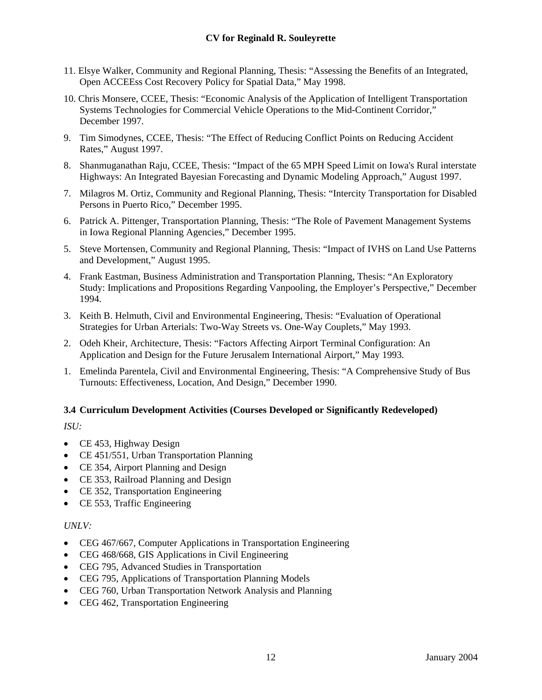- <span id="page-11-0"></span>11. Elsye Walker, Community and Regional Planning, Thesis: "Assessing the Benefits of an Integrated, Open ACCEEss Cost Recovery Policy for Spatial Data," May 1998.
- 10. Chris Monsere, CCEE, Thesis: "Economic Analysis of the Application of Intelligent Transportation Systems Technologies for Commercial Vehicle Operations to the Mid-Continent Corridor," December 1997.
- 9. Tim Simodynes, CCEE, Thesis: "The Effect of Reducing Conflict Points on Reducing Accident Rates," August 1997.
- 8. Shanmuganathan Raju, CCEE, Thesis: "Impact of the 65 MPH Speed Limit on Iowa's Rural interstate Highways: An Integrated Bayesian Forecasting and Dynamic Modeling Approach," August 1997.
- 7. Milagros M. Ortiz, Community and Regional Planning, Thesis: "Intercity Transportation for Disabled Persons in Puerto Rico," December 1995.
- 6. Patrick A. Pittenger, Transportation Planning, Thesis: "The Role of Pavement Management Systems in Iowa Regional Planning Agencies," December 1995.
- 5. Steve Mortensen, Community and Regional Planning, Thesis: "Impact of IVHS on Land Use Patterns and Development," August 1995.
- 4. Frank Eastman, Business Administration and Transportation Planning, Thesis: "An Exploratory Study: Implications and Propositions Regarding Vanpooling, the Employer's Perspective," December 1994.
- 3. Keith B. Helmuth, Civil and Environmental Engineering, Thesis: "Evaluation of Operational Strategies for Urban Arterials: Two-Way Streets vs. One-Way Couplets," May 1993.
- 2. Odeh Kheir, Architecture, Thesis: "Factors Affecting Airport Terminal Configuration: An Application and Design for the Future Jerusalem International Airport," May 1993.
- 1. Emelinda Parentela, Civil and Environmental Engineering, Thesis: "A Comprehensive Study of Bus Turnouts: Effectiveness, Location, And Design," December 1990.

## **3.4 Curriculum Development Activities (Courses Developed or Significantly Redeveloped)**

## *ISU:*

- CE 453, Highway Design
- CE 451/551, Urban Transportation Planning
- CE 354, Airport Planning and Design
- CE 353, Railroad Planning and Design
- CE 352, Transportation Engineering
- CE 553, Traffic Engineering

## *UNLV:*

- CEG 467/667, Computer Applications in Transportation Engineering
- CEG 468/668, GIS Applications in Civil Engineering
- CEG 795, Advanced Studies in Transportation
- CEG 795, Applications of Transportation Planning Models
- CEG 760, Urban Transportation Network Analysis and Planning
- CEG 462, Transportation Engineering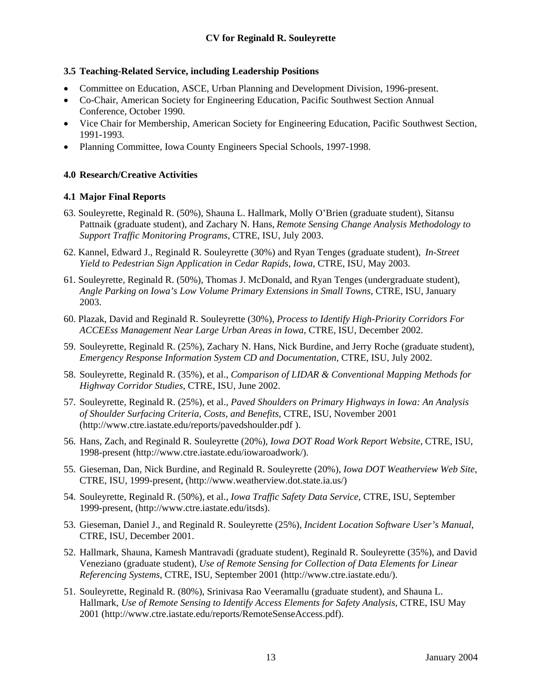## <span id="page-12-0"></span>**3.5 Teaching-Related Service, including Leadership Positions**

- Committee on Education, ASCE, Urban Planning and Development Division, 1996-present.
- Co-Chair, American Society for Engineering Education, Pacific Southwest Section Annual Conference, October 1990.
- Vice Chair for Membership, American Society for Engineering Education, Pacific Southwest Section, 1991-1993.
- Planning Committee, Iowa County Engineers Special Schools, 1997-1998.

## **4.0 Research/Creative Activities**

#### **4.1 Major Final Reports**

- 63. Souleyrette, Reginald R. (50%), Shauna L. Hallmark, Molly O'Brien (graduate student), Sitansu Pattnaik (graduate student), and Zachary N. Hans, *Remote Sensing Change Analysis Methodology to Support Traffic Monitoring Programs*, CTRE, ISU, July 2003.
- 62. Kannel, Edward J., Reginald R. Souleyrette (30%) and Ryan Tenges (graduate student), *In-Street Yield to Pedestrian Sign Application in Cedar Rapids, Iowa*, CTRE, ISU, May 2003.
- 61. Souleyrette, Reginald R. (50%), Thomas J. McDonald, and Ryan Tenges (undergraduate student), *Angle Parking on Iowa's Low Volume Primary Extensions in Small Towns*, CTRE, ISU, January 2003.
- 60. Plazak, David and Reginald R. Souleyrette (30%), *Process to Identify High-Priority Corridors For ACCEEss Management Near Large Urban Areas in Iowa*, CTRE, ISU, December 2002.
- 59. Souleyrette, Reginald R. (25%), Zachary N. Hans, Nick Burdine, and Jerry Roche (graduate student), *Emergency Response Information System CD and Documentation*, CTRE, ISU, July 2002.
- 58. Souleyrette, Reginald R. (35%), et al., *Comparison of LIDAR & Conventional Mapping Methods for Highway Corridor Studies*, CTRE, ISU, June 2002.
- 57. Souleyrette, Reginald R. (25%), et al., *Paved Shoulders on Primary Highways in Iowa: An Analysis of Shoulder Surfacing Criteria, Costs, and Benefits*, CTRE, ISU, November 2001 ([http://www.ctre.iastate.edu/reports/pavedshoulder.pdf \)](http://www.ctre.iastate.edu/Research/detail.cfm?projectID=478).
- 56. Hans, Zach, and Reginald R. Souleyrette (20%), *Iowa DOT Road Work Report Website*, CTRE, ISU, 1998-present (<http://www.ctre.iastate.edu/iowaroadwork/>).
- 55. Gieseman, Dan, Nick Burdine, and Reginald R. Souleyrette (20%), *Iowa DOT Weatherview Web Site*, CTRE, ISU, 1999-present, [\(http://www.weatherview.dot.state.ia.us/](http://www.weatherview.dot.state.ia.us/))
- 54. Souleyrette, Reginald R. (50%), et al., *Iowa Traffic Safety Data Service*, CTRE, ISU, September 1999-present, ([http://www.ctre.iastate.edu/itsds\)](http://www.ctre.iastate.edu/itsds).
- 53. Gieseman, Daniel J., and Reginald R. Souleyrette (25%), *Incident Location Software User's Manual*, CTRE, ISU, December 2001.
- 52. Hallmark, Shauna, Kamesh Mantravadi (graduate student), Reginald R. Souleyrette (35%), and David Veneziano (graduate student), *Use of Remote Sensing for Collection of Data Elements for Linear Referencing Systems*, CTRE, ISU, September 2001 [\(http://www.ctre.iastate.edu/\)](http://www.ctre.iastate.edu/).
- 51. Souleyrette, Reginald R. (80%), Srinivasa Rao Veeramallu (graduate student), and Shauna L. Hallmark, *Use of Remote Sensing to Identify Access Elements for Safety Analysis*, CTRE, ISU May 2001 [\(http://www.ctre.iastate.edu/reports/RemoteSenseAccess.pdf](http://www.ctre.iastate.edu/)).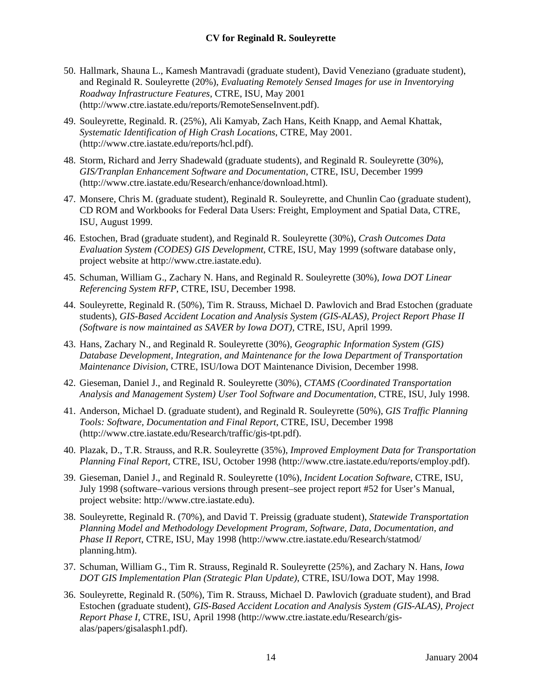- 50. Hallmark, Shauna L., Kamesh Mantravadi (graduate student), David Veneziano (graduate student), and Reginald R. Souleyrette (20%), *Evaluating Remotely Sensed Images for use in Inventorying Roadway Infrastructure Features*, CTRE, ISU, May 2001 ([http://www.ctre.iastate.edu/reports/RemoteSenseInvent.pdf](http://www.ctre.iastate.edu/)).
- 49. Souleyrette, Reginald. R. (25%), Ali Kamyab, Zach Hans, Keith Knapp, and Aemal Khattak, *Systematic Identification of High Crash Locations*, CTRE, May 2001. ([http://www.ctre.iastate.edu/reports/hcl.pdf\)](http://www.ctre.iastate.edu/reports/hcl.pdf).
- 48. Storm, Richard and Jerry Shadewald (graduate students), and Reginald R. Souleyrette (30%), *GIS/Tranplan Enhancement Software and Documentation*, CTRE, ISU, December 1999 (<http://www.ctre.iastate.edu/Research/enhance/download.html>).
- 47. Monsere, Chris M. (graduate student), Reginald R. Souleyrette, and Chunlin Cao (graduate student), CD ROM and Workbooks for Federal Data Users: Freight, Employment and Spatial Data, CTRE, ISU, August 1999.
- 46. Estochen, Brad (graduate student), and Reginald R. Souleyrette (30%), *Crash Outcomes Data Evaluation System (CODES) GIS Development*, CTRE, ISU, May 1999 (software database only, project website at [http://www.ctre.iastate.edu](http://www.ctre.iastate.edu/)).
- 45. Schuman, William G., Zachary N. Hans, and Reginald R. Souleyrette (30%), *Iowa DOT Linear Referencing System RFP*, CTRE, ISU, December 1998.
- 44. Souleyrette, Reginald R. (50%), Tim R. Strauss, Michael D. Pawlovich and Brad Estochen (graduate students), *GIS-Based Accident Location and Analysis System (GIS-ALAS), Project Report Phase II (Software is now maintained as SAVER by Iowa DOT)*, CTRE, ISU, April 1999.
- 43. Hans, Zachary N., and Reginald R. Souleyrette (30%), *Geographic Information System (GIS) Database Development, Integration, and Maintenance for the Iowa Department of Transportation Maintenance Division*, CTRE, ISU/Iowa DOT Maintenance Division, December 1998.
- 42. Gieseman, Daniel J., and Reginald R. Souleyrette (30%), *CTAMS (Coordinated Transportation Analysis and Management System) User Tool Software and Documentation*, CTRE, ISU, July 1998.
- 41. Anderson, Michael D. (graduate student), and Reginald R. Souleyrette (50%), *GIS Traffic Planning Tools: Software, Documentation and Final Report*, CTRE, ISU, December 1998 (<http://www.ctre.iastate.edu/Research/traffic/gis-tpt.pdf>).
- 40. Plazak, D., T.R. Strauss, and R.R. Souleyrette (35%), *Improved Employment Data for Transportation Planning Final Report*, CTRE, ISU, October 1998 ([http://www.ctre.iastate.edu/reports/employ.pdf\)](http://www.ctre.iastate.edu/reports/employ.pdf).
- 39. Gieseman, Daniel J., and Reginald R. Souleyrette (10%), *Incident Location Software*, CTRE, ISU, July 1998 (software–various versions through present–see project report #52 for User's Manual, project website: [http://www.ctre.iastate.edu](http://www.ctre.iastate.edu/)).
- 38. Souleyrette, Reginald R. (70%), and David T. Preissig (graduate student), *Statewide Transportation Planning Model and Methodology Development Program, Software, Data, Documentation, and Phase II Report*, CTRE, ISU, May 1998 [\(http://www.ctre.iastate.edu/Research/statmod/](http://www.ctre.iastate.edu/Research/statmod/planning.htm)  [planning.htm](http://www.ctre.iastate.edu/Research/statmod/planning.htm)).
- 37. Schuman, William G., Tim R. Strauss, Reginald R. Souleyrette (25%), and Zachary N. Hans, *Iowa DOT GIS Implementation Plan (Strategic Plan Update)*, CTRE, ISU/Iowa DOT, May 1998.
- 36. Souleyrette, Reginald R. (50%), Tim R. Strauss, Michael D. Pawlovich (graduate student), and Brad Estochen (graduate student), *GIS-Based Accident Location and Analysis System (GIS-ALAS), Project Report Phase I*, CTRE, ISU, April 1998 ([http://www.ctre.iastate.edu/Research/gis](http://www.ctre.iastate.edu/Research/gis-alas/papers/gisalasph1.pdf)[alas/papers/gisalasph1.pdf\)](http://www.ctre.iastate.edu/Research/gis-alas/papers/gisalasph1.pdf).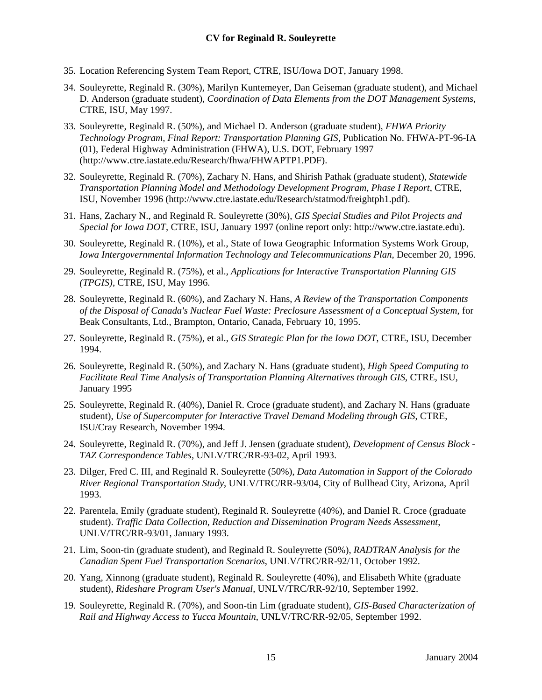- 35. Location Referencing System Team Report, CTRE, ISU/Iowa DOT, January 1998.
- 34. Souleyrette, Reginald R. (30%), Marilyn Kuntemeyer, Dan Geiseman (graduate student), and Michael D. Anderson (graduate student), *Coordination of Data Elements from the DOT Management Systems*, CTRE, ISU, May 1997.
- 33. Souleyrette, Reginald R. (50%), and Michael D. Anderson (graduate student), *FHWA Priority Technology Program, Final Report: Transportation Planning GIS*, Publication No. FHWA-PT-96-IA (01), Federal Highway Administration (FHWA), U.S. DOT, February 1997 (<http://www.ctre.iastate.edu/Research/fhwa/FHWAPTP1.PDF>).
- 32. Souleyrette, Reginald R. (70%), Zachary N. Hans, and Shirish Pathak (graduate student), *Statewide Transportation Planning Model and Methodology Development Program, Phase I Report*, CTRE, ISU, November 1996 (<http://www.ctre.iastate.edu/Research/statmod/freightph1.pdf>).
- 31. Hans, Zachary N., and Reginald R. Souleyrette (30%), *GIS Special Studies and Pilot Projects and Special for Iowa DOT*, CTRE, ISU, January 1997 (online report only: [http://www.ctre.iastate.edu\)](http://www.ctre.iastate.edu/).
- 30. Souleyrette, Reginald R. (10%), et al., State of Iowa Geographic Information Systems Work Group, *Iowa Intergovernmental Information Technology and Telecommunications Plan*, December 20, 1996.
- 29. Souleyrette, Reginald R. (75%), et al., *Applications for Interactive Transportation Planning GIS (TPGIS)*, CTRE, ISU, May 1996.
- 28. Souleyrette, Reginald R. (60%), and Zachary N. Hans, *A Review of the Transportation Components of the Disposal of Canada's Nuclear Fuel Waste: Preclosure Assessment of a Conceptual System*, for Beak Consultants, Ltd., Brampton, Ontario, Canada, February 10, 1995.
- 27. Souleyrette, Reginald R. (75%), et al., *GIS Strategic Plan for the Iowa DOT*, CTRE, ISU, December 1994.
- 26. Souleyrette, Reginald R. (50%), and Zachary N. Hans (graduate student), *High Speed Computing to Facilitate Real Time Analysis of Transportation Planning Alternatives through GIS*, CTRE, ISU, January 1995
- 25. Souleyrette, Reginald R. (40%), Daniel R. Croce (graduate student), and Zachary N. Hans (graduate student), *Use of Supercomputer for Interactive Travel Demand Modeling through GIS*, CTRE, ISU/Cray Research, November 1994.
- 24. Souleyrette, Reginald R. (70%), and Jeff J. Jensen (graduate student), *Development of Census Block TAZ Correspondence Tables*, UNLV/TRC/RR-93-02, April 1993.
- 23. Dilger, Fred C. III, and Reginald R. Souleyrette (50%), *Data Automation in Support of the Colorado River Regional Transportation Study*, UNLV/TRC/RR-93/04, City of Bullhead City, Arizona, April 1993.
- 22. Parentela, Emily (graduate student), Reginald R. Souleyrette (40%), and Daniel R. Croce (graduate student). *Traffic Data Collection, Reduction and Dissemination Program Needs Assessment*, UNLV/TRC/RR-93/01, January 1993.
- 21. Lim, Soon-tin (graduate student), and Reginald R. Souleyrette (50%), *RADTRAN Analysis for the Canadian Spent Fuel Transportation Scenarios*, UNLV/TRC/RR-92/11, October 1992.
- 20. Yang, Xinnong (graduate student), Reginald R. Souleyrette (40%), and Elisabeth White (graduate student), *Rideshare Program User's Manual*, UNLV/TRC/RR-92/10, September 1992.
- 19. Souleyrette, Reginald R. (70%), and Soon-tin Lim (graduate student), *GIS-Based Characterization of Rail and Highway Access to Yucca Mountain*, UNLV/TRC/RR-92/05, September 1992.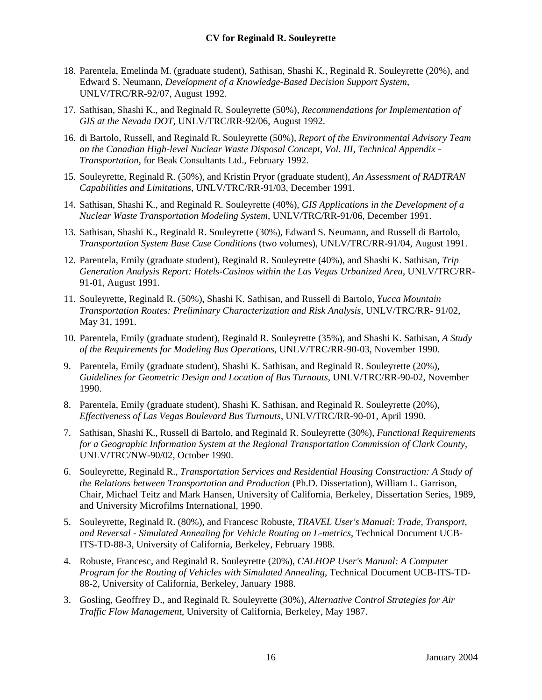- 18. Parentela, Emelinda M. (graduate student), Sathisan, Shashi K., Reginald R. Souleyrette (20%), and Edward S. Neumann, *Development of a Knowledge-Based Decision Support System*, UNLV/TRC/RR-92/07, August 1992.
- 17. Sathisan, Shashi K., and Reginald R. Souleyrette (50%), *Recommendations for Implementation of GIS at the Nevada DOT*, UNLV/TRC/RR-92/06, August 1992.
- 16. di Bartolo, Russell, and Reginald R. Souleyrette (50%), *Report of the Environmental Advisory Team on the Canadian High-level Nuclear Waste Disposal Concept*, *Vol. III, Technical Appendix - Transportation*, for Beak Consultants Ltd., February 1992.
- 15. Souleyrette, Reginald R. (50%), and Kristin Pryor (graduate student), *An Assessment of RADTRAN Capabilities and Limitations*, UNLV/TRC/RR-91/03, December 1991.
- 14. Sathisan, Shashi K., and Reginald R. Souleyrette (40%), *GIS Applications in the Development of a Nuclear Waste Transportation Modeling System*, UNLV/TRC/RR-91/06, December 1991.
- 13. Sathisan, Shashi K., Reginald R. Souleyrette (30%), Edward S. Neumann, and Russell di Bartolo, *Transportation System Base Case Conditions* (two volumes), UNLV/TRC/RR-91/04, August 1991.
- 12. Parentela, Emily (graduate student), Reginald R. Souleyrette (40%), and Shashi K. Sathisan, *Trip Generation Analysis Report: Hotels-Casinos within the Las Vegas Urbanized Area*, UNLV/TRC/RR-91-01, August 1991.
- 11. Souleyrette, Reginald R. (50%), Shashi K. Sathisan, and Russell di Bartolo, *Yucca Mountain Transportation Routes: Preliminary Characterization and Risk Analysis*, UNLV/TRC/RR- 91/02, May 31, 1991.
- 10. Parentela, Emily (graduate student), Reginald R. Souleyrette (35%), and Shashi K. Sathisan, *A Study of the Requirements for Modeling Bus Operations*, UNLV/TRC/RR-90-03, November 1990.
- 9. Parentela, Emily (graduate student), Shashi K. Sathisan, and Reginald R. Souleyrette (20%), *Guidelines for Geometric Design and Location of Bus Turnouts*, UNLV/TRC/RR-90-02, November 1990.
- 8. Parentela, Emily (graduate student), Shashi K. Sathisan, and Reginald R. Souleyrette (20%), *Effectiveness of Las Vegas Boulevard Bus Turnouts*, UNLV/TRC/RR-90-01, April 1990.
- 7. Sathisan, Shashi K., Russell di Bartolo, and Reginald R. Souleyrette (30%), *Functional Requirements for a Geographic Information System at the Regional Transportation Commission of Clark County*, UNLV/TRC/NW-90/02, October 1990.
- 6. Souleyrette, Reginald R., *Transportation Services and Residential Housing Construction: A Study of the Relations between Transportation and Production* (Ph.D. Dissertation), William L. Garrison, Chair, Michael Teitz and Mark Hansen, University of California, Berkeley, Dissertation Series, 1989, and University Microfilms International, 1990.
- 5. Souleyrette, Reginald R. (80%), and Francesc Robuste, *TRAVEL User's Manual: Trade, Transport, and Reversal - Simulated Annealing for Vehicle Routing on L-metrics*, Technical Document UCB-ITS-TD-88-3, University of California, Berkeley, February 1988.
- 4. Robuste, Francesc, and Reginald R. Souleyrette (20%), *CALHOP User's Manual: A Computer Program for the Routing of Vehicles with Simulated Annealing*, Technical Document UCB-ITS-TD-88-2, University of California, Berkeley, January 1988.
- 3. Gosling, Geoffrey D., and Reginald R. Souleyrette (30%), *Alternative Control Strategies for Air Traffic Flow Management*, University of California, Berkeley, May 1987.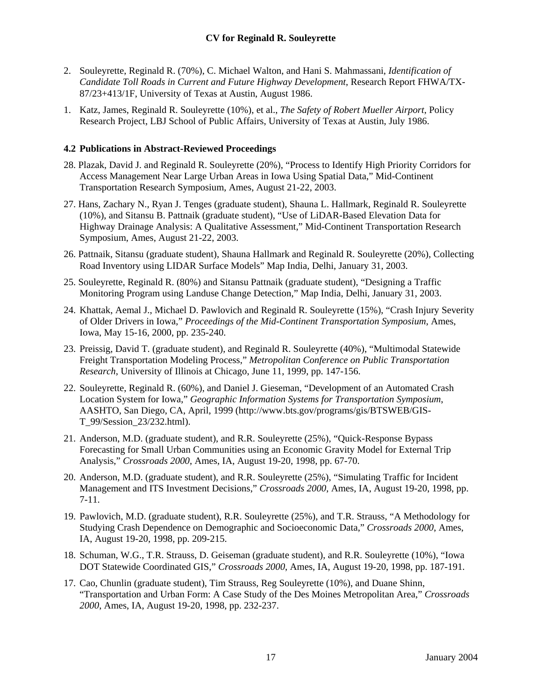- <span id="page-16-0"></span>2. Souleyrette, Reginald R. (70%), C. Michael Walton, and Hani S. Mahmassani, *Identification of Candidate Toll Roads in Current and Future Highway Development*, Research Report FHWA/TX-87/23+413/1F, University of Texas at Austin, August 1986.
- 1. Katz, James, Reginald R. Souleyrette (10%), et al., *The Safety of Robert Mueller Airport*, Policy Research Project, LBJ School of Public Affairs, University of Texas at Austin, July 1986.

# **4.2 Publications in Abstract-Reviewed Proceedings**

- 28. Plazak, David J. and Reginald R. Souleyrette (20%), "Process to Identify High Priority Corridors for Access Management Near Large Urban Areas in Iowa Using Spatial Data," Mid-Continent Transportation Research Symposium, Ames, August 21-22, 2003.
- 27. Hans, Zachary N., Ryan J. Tenges (graduate student), Shauna L. Hallmark, Reginald R. Souleyrette (10%), and Sitansu B. Pattnaik (graduate student), "Use of LiDAR-Based Elevation Data for Highway Drainage Analysis: A Qualitative Assessment," Mid-Continent Transportation Research Symposium, Ames, August 21-22, 2003.
- 26. Pattnaik, Sitansu (graduate student), Shauna Hallmark and Reginald R. Souleyrette (20%), Collecting Road Inventory using LIDAR Surface Models" Map India, Delhi, January 31, 2003.
- 25. Souleyrette, Reginald R. (80%) and Sitansu Pattnaik (graduate student), "Designing a Traffic Monitoring Program using Landuse Change Detection," Map India, Delhi, January 31, 2003.
- 24. Khattak, Aemal J., Michael D. Pawlovich and Reginald R. Souleyrette (15%), "Crash Injury Severity of Older Drivers in Iowa," *Proceedings of the Mid-Continent Transportation Symposium*, Ames, Iowa, May 15-16, 2000, pp. 235-240.
- 23. Preissig, David T. (graduate student), and Reginald R. Souleyrette (40%), "Multimodal Statewide Freight Transportation Modeling Process," *Metropolitan Conference on Public Transportation Research*, University of Illinois at Chicago, June 11, 1999, pp. 147-156.
- 22. Souleyrette, Reginald R. (60%), and Daniel J. Gieseman, "Development of an Automated Crash Location System for Iowa," *Geographic Information Systems for Transportation Symposium*, AASHTO, San Diego, CA, April, 1999 ([http://www.bts.gov/programs/gis/BTSWEB/GIS-](http://www.bts.gov/programs/gis/BTSWEB/GIS-T_99/Session_23/232.html)[T\\_99/Session\\_23/232.html\)](http://www.bts.gov/programs/gis/BTSWEB/GIS-T_99/Session_23/232.html).
- 21. Anderson, M.D. (graduate student), and R.R. Souleyrette (25%), "Quick-Response Bypass Forecasting for Small Urban Communities using an Economic Gravity Model for External Trip Analysis," *Crossroads 2000*, Ames, IA, August 19-20, 1998, pp. 67-70.
- 20. Anderson, M.D. (graduate student), and R.R. Souleyrette (25%), "Simulating Traffic for Incident Management and ITS Investment Decisions," *Crossroads 2000*, Ames, IA, August 19-20, 1998, pp. 7-11.
- 19. Pawlovich, M.D. (graduate student), R.R. Souleyrette (25%), and T.R. Strauss, "A Methodology for Studying Crash Dependence on Demographic and Socioeconomic Data," *Crossroads 2000*, Ames, IA, August 19-20, 1998, pp. 209-215.
- 18. Schuman, W.G., T.R. Strauss, D. Geiseman (graduate student), and R.R. Souleyrette (10%), "Iowa DOT Statewide Coordinated GIS," *Crossroads 2000*, Ames, IA, August 19-20, 1998, pp. 187-191.
- 17. Cao, Chunlin (graduate student), Tim Strauss, Reg Souleyrette (10%), and Duane Shinn, "Transportation and Urban Form: A Case Study of the Des Moines Metropolitan Area," *Crossroads 2000*, Ames, IA, August 19-20, 1998, pp. 232-237.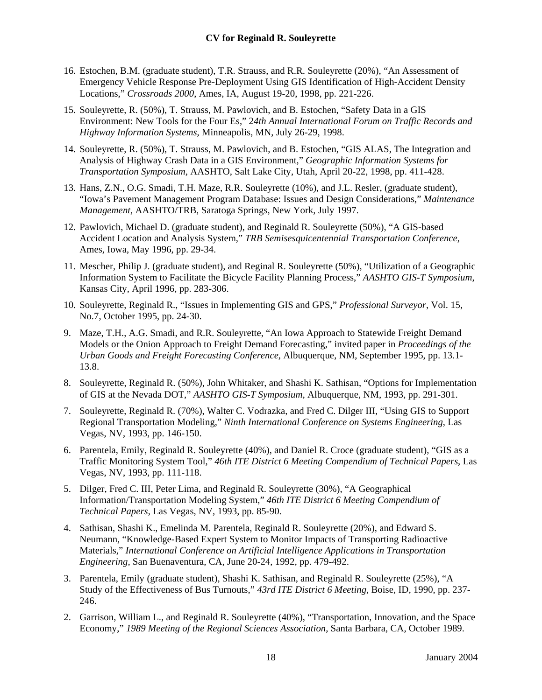- 16. Estochen, B.M. (graduate student), T.R. Strauss, and R.R. Souleyrette (20%), "An Assessment of Emergency Vehicle Response Pre-Deployment Using GIS Identification of High-Accident Density Locations," *Crossroads 2000*, Ames, IA, August 19-20, 1998, pp. 221-226.
- 15. Souleyrette, R. (50%), T. Strauss, M. Pawlovich, and B. Estochen, "Safety Data in a GIS Environment: New Tools for the Four Es," 2*4th Annual International Forum on Traffic Records and Highway Information Systems*, Minneapolis, MN, July 26-29, 1998.
- 14. Souleyrette, R. (50%), T. Strauss, M. Pawlovich, and B. Estochen, "GIS ALAS, The Integration and Analysis of Highway Crash Data in a GIS Environment," *Geographic Information Systems for Transportation Symposium*, AASHTO, Salt Lake City, Utah, April 20-22, 1998, pp. 411-428.
- 13. Hans, Z.N., O.G. Smadi, T.H. Maze, R.R. Souleyrette (10%), and J.L. Resler, (graduate student), "Iowa's Pavement Management Program Database: Issues and Design Considerations," *Maintenance Management*, AASHTO/TRB, Saratoga Springs, New York, July 1997.
- 12. Pawlovich, Michael D. (graduate student), and Reginald R. Souleyrette (50%), "A GIS-based Accident Location and Analysis System," *TRB Semisesquicentennial Transportation Conference*, Ames, Iowa, May 1996, pp. 29-34.
- 11. Mescher, Philip J. (graduate student), and Reginal R. Souleyrette (50%), "Utilization of a Geographic Information System to Facilitate the Bicycle Facility Planning Process," *AASHTO GIS-T Symposium*, Kansas City, April 1996, pp. 283-306.
- 10. Souleyrette, Reginald R., "Issues in Implementing GIS and GPS," *Professional Surveyor*, Vol. 15, No.7, October 1995, pp. 24-30.
- 9. Maze, T.H., A.G. Smadi, and R.R. Souleyrette, "An Iowa Approach to Statewide Freight Demand Models or the Onion Approach to Freight Demand Forecasting," invited paper in *Proceedings of the Urban Goods and Freight Forecasting Conference*, Albuquerque, NM, September 1995, pp. 13.1- 13.8.
- 8. Souleyrette, Reginald R. (50%), John Whitaker, and Shashi K. Sathisan, "Options for Implementation of GIS at the Nevada DOT," *AASHTO GIS-T Symposium*, Albuquerque, NM, 1993, pp. 291-301.
- 7. Souleyrette, Reginald R. (70%), Walter C. Vodrazka, and Fred C. Dilger III, "Using GIS to Support Regional Transportation Modeling," *Ninth International Conference on Systems Engineering*, Las Vegas, NV, 1993, pp. 146-150.
- 6. Parentela, Emily, Reginald R. Souleyrette (40%), and Daniel R. Croce (graduate student), "GIS as a Traffic Monitoring System Tool," *46th ITE District 6 Meeting Compendium of Technical Papers*, Las Vegas, NV, 1993, pp. 111-118.
- 5. Dilger, Fred C. III, Peter Lima, and Reginald R. Souleyrette (30%), "A Geographical Information/Transportation Modeling System," *46th ITE District 6 Meeting Compendium of Technical Papers*, Las Vegas, NV, 1993, pp. 85-90.
- 4. Sathisan, Shashi K., Emelinda M. Parentela, Reginald R. Souleyrette (20%), and Edward S. Neumann, "Knowledge-Based Expert System to Monitor Impacts of Transporting Radioactive Materials," *International Conference on Artificial Intelligence Applications in Transportation Engineering*, San Buenaventura, CA, June 20-24, 1992, pp. 479-492.
- 3. Parentela, Emily (graduate student), Shashi K. Sathisan, and Reginald R. Souleyrette (25%), "A Study of the Effectiveness of Bus Turnouts," *43rd ITE District 6 Meeting*, Boise, ID, 1990, pp. 237- 246.
- 2. Garrison, William L., and Reginald R. Souleyrette (40%), "Transportation, Innovation, and the Space Economy," *1989 Meeting of the Regional Sciences Association*, Santa Barbara, CA, October 1989.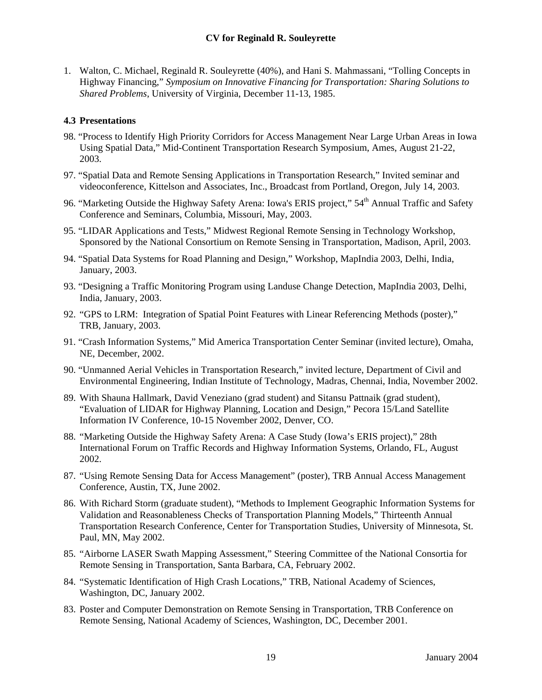<span id="page-18-0"></span>1. Walton, C. Michael, Reginald R. Souleyrette (40%), and Hani S. Mahmassani, "Tolling Concepts in Highway Financing," *Symposium on Innovative Financing for Transportation: Sharing Solutions to Shared Problems*, University of Virginia, December 11-13, 1985.

#### **4.3 Presentations**

- 98. "Process to Identify High Priority Corridors for Access Management Near Large Urban Areas in Iowa Using Spatial Data," Mid-Continent Transportation Research Symposium, Ames, August 21-22, 2003.
- 97. "Spatial Data and Remote Sensing Applications in Transportation Research," Invited seminar and videoconference, Kittelson and Associates, Inc., Broadcast from Portland, Oregon, July 14, 2003.
- 96. "Marketing Outside the Highway Safety Arena: Iowa's ERIS project," 54<sup>th</sup> Annual Traffic and Safety Conference and Seminars, Columbia, Missouri, May, 2003.
- 95. "LIDAR Applications and Tests," Midwest Regional Remote Sensing in Technology Workshop, Sponsored by the National Consortium on Remote Sensing in Transportation, Madison, April, 2003.
- 94. "Spatial Data Systems for Road Planning and Design," Workshop, MapIndia 2003, Delhi, India, January, 2003.
- 93. "Designing a Traffic Monitoring Program using Landuse Change Detection, MapIndia 2003, Delhi, India, January, 2003.
- 92. "GPS to LRM: Integration of Spatial Point Features with Linear Referencing Methods (poster)," TRB, January, 2003.
- 91. "Crash Information Systems," Mid America Transportation Center Seminar (invited lecture), Omaha, NE, December, 2002.
- 90. "Unmanned Aerial Vehicles in Transportation Research," invited lecture, Department of Civil and Environmental Engineering, Indian Institute of Technology, Madras, Chennai, India, November 2002.
- 89. With Shauna Hallmark, David Veneziano (grad student) and Sitansu Pattnaik (grad student), "Evaluation of LIDAR for Highway Planning, Location and Design," Pecora 15/Land Satellite Information IV Conference, 10-15 November 2002, Denver, CO.
- 88. "Marketing Outside the Highway Safety Arena: A Case Study (Iowa's ERIS project)," 28th International Forum on Traffic Records and Highway Information Systems, Orlando, FL, August 2002.
- 87. "Using Remote Sensing Data for Access Management" (poster), TRB Annual Access Management Conference, Austin, TX, June 2002.
- 86. With Richard Storm (graduate student), "Methods to Implement Geographic Information Systems for Validation and Reasonableness Checks of Transportation Planning Models," Thirteenth Annual Transportation Research Conference, Center for Transportation Studies, University of Minnesota, St. Paul, MN, May 2002.
- 85. "Airborne LASER Swath Mapping Assessment," Steering Committee of the National Consortia for Remote Sensing in Transportation, Santa Barbara, CA, February 2002.
- 84. "Systematic Identification of High Crash Locations," TRB, National Academy of Sciences, Washington, DC, January 2002.
- 83. Poster and Computer Demonstration on Remote Sensing in Transportation, TRB Conference on Remote Sensing, National Academy of Sciences, Washington, DC, December 2001.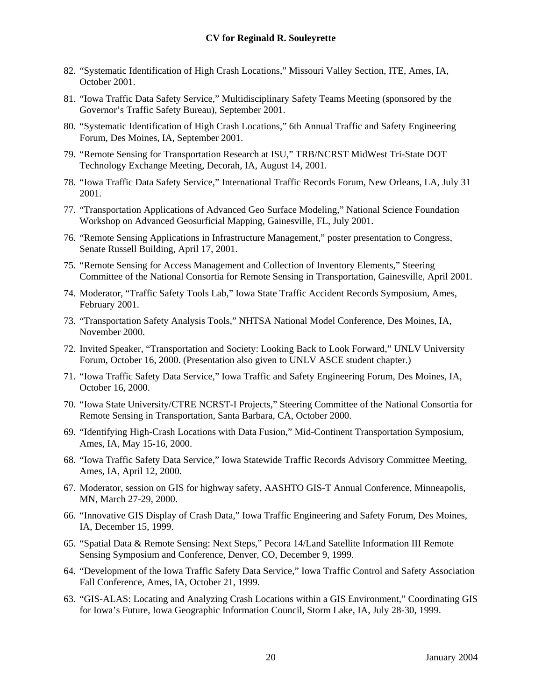- 82. "Systematic Identification of High Crash Locations," Missouri Valley Section, ITE, Ames, IA, October 2001.
- 81. "Iowa Traffic Data Safety Service," Multidisciplinary Safety Teams Meeting (sponsored by the Governor's Traffic Safety Bureau), September 2001.
- 80. "Systematic Identification of High Crash Locations," 6th Annual Traffic and Safety Engineering Forum, Des Moines, IA, September 2001.
- 79. "Remote Sensing for Transportation Research at ISU," TRB/NCRST MidWest Tri-State DOT Technology Exchange Meeting, Decorah, IA, August 14, 2001.
- 78. "Iowa Traffic Data Safety Service," International Traffic Records Forum, New Orleans, LA, July 31 2001.
- 77. "Transportation Applications of Advanced Geo Surface Modeling," National Science Foundation Workshop on Advanced Geosurficial Mapping, Gainesville, FL, July 2001.
- 76. "Remote Sensing Applications in Infrastructure Management," poster presentation to Congress, Senate Russell Building, April 17, 2001.
- 75. "Remote Sensing for Access Management and Collection of Inventory Elements," Steering Committee of the National Consortia for Remote Sensing in Transportation, Gainesville, April 2001.
- 74. Moderator, "Traffic Safety Tools Lab," Iowa State Traffic Accident Records Symposium, Ames, February 2001.
- 73. "Transportation Safety Analysis Tools," NHTSA National Model Conference, Des Moines, IA, November 2000.
- 72. Invited Speaker, "Transportation and Society: Looking Back to Look Forward," UNLV University Forum, October 16, 2000. (Presentation also given to UNLV ASCE student chapter.)
- 71. "Iowa Traffic Safety Data Service," Iowa Traffic and Safety Engineering Forum, Des Moines, IA, October 16, 2000.
- 70. "Iowa State University/CTRE NCRST-I Projects," Steering Committee of the National Consortia for Remote Sensing in Transportation, Santa Barbara, CA, October 2000.
- 69. "Identifying High-Crash Locations with Data Fusion," Mid-Continent Transportation Symposium, Ames, IA, May 15-16, 2000.
- 68. "Iowa Traffic Safety Data Service," Iowa Statewide Traffic Records Advisory Committee Meeting, Ames, IA, April 12, 2000.
- 67. Moderator, session on GIS for highway safety, AASHTO GIS-T Annual Conference, Minneapolis, MN, March 27-29, 2000.
- 66. "Innovative GIS Display of Crash Data," Iowa Traffic Engineering and Safety Forum, Des Moines, IA, December 15, 1999.
- 65. "Spatial Data & Remote Sensing: Next Steps," Pecora 14/Land Satellite Information III Remote Sensing Symposium and Conference, Denver, CO, December 9, 1999.
- 64. "Development of the Iowa Traffic Safety Data Service," Iowa Traffic Control and Safety Association Fall Conference, Ames, IA, October 21, 1999.
- 63. "GIS-ALAS: Locating and Analyzing Crash Locations within a GIS Environment," Coordinating GIS for Iowa's Future, Iowa Geographic Information Council, Storm Lake, IA, July 28-30, 1999.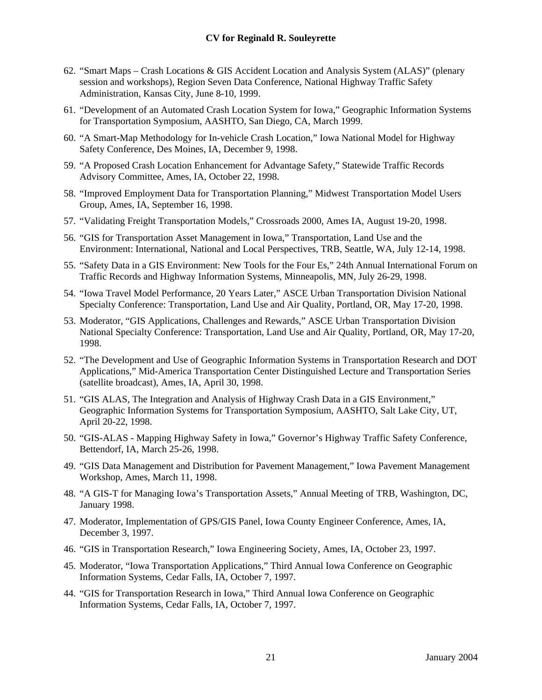- 62. "Smart Maps Crash Locations & GIS Accident Location and Analysis System (ALAS)" (plenary session and workshops), Region Seven Data Conference, National Highway Traffic Safety Administration, Kansas City, June 8-10, 1999.
- 61. "Development of an Automated Crash Location System for Iowa," Geographic Information Systems for Transportation Symposium, AASHTO, San Diego, CA, March 1999.
- 60. "A Smart-Map Methodology for In-vehicle Crash Location," Iowa National Model for Highway Safety Conference, Des Moines, IA, December 9, 1998.
- 59. "A Proposed Crash Location Enhancement for Advantage Safety," Statewide Traffic Records Advisory Committee, Ames, IA, October 22, 1998.
- 58. "Improved Employment Data for Transportation Planning," Midwest Transportation Model Users Group, Ames, IA, September 16, 1998.
- 57. "Validating Freight Transportation Models," Crossroads 2000, Ames IA, August 19-20, 1998.
- 56. "GIS for Transportation Asset Management in Iowa," Transportation, Land Use and the Environment: International, National and Local Perspectives, TRB, Seattle, WA, July 12-14, 1998.
- 55. "Safety Data in a GIS Environment: New Tools for the Four Es," 24th Annual International Forum on Traffic Records and Highway Information Systems, Minneapolis, MN, July 26-29, 1998.
- 54. "Iowa Travel Model Performance, 20 Years Later," ASCE Urban Transportation Division National Specialty Conference: Transportation, Land Use and Air Quality, Portland, OR, May 17-20, 1998.
- 53. Moderator, "GIS Applications, Challenges and Rewards," ASCE Urban Transportation Division National Specialty Conference: Transportation, Land Use and Air Quality, Portland, OR, May 17-20, 1998.
- 52. "The Development and Use of Geographic Information Systems in Transportation Research and DOT Applications," Mid-America Transportation Center Distinguished Lecture and Transportation Series (satellite broadcast), Ames, IA, April 30, 1998.
- 51. "GIS ALAS, The Integration and Analysis of Highway Crash Data in a GIS Environment," Geographic Information Systems for Transportation Symposium, AASHTO, Salt Lake City, UT, April 20-22, 1998.
- 50. "GIS-ALAS Mapping Highway Safety in Iowa," Governor's Highway Traffic Safety Conference, Bettendorf, IA, March 25-26, 1998.
- 49. "GIS Data Management and Distribution for Pavement Management," Iowa Pavement Management Workshop, Ames, March 11, 1998.
- 48. "A GIS-T for Managing Iowa's Transportation Assets," Annual Meeting of TRB, Washington, DC, January 1998.
- 47. Moderator, Implementation of GPS/GIS Panel, Iowa County Engineer Conference, Ames, IA, December 3, 1997.
- 46. "GIS in Transportation Research," Iowa Engineering Society, Ames, IA, October 23, 1997.
- 45. Moderator, "Iowa Transportation Applications," Third Annual Iowa Conference on Geographic Information Systems, Cedar Falls, IA, October 7, 1997.
- 44. "GIS for Transportation Research in Iowa," Third Annual Iowa Conference on Geographic Information Systems, Cedar Falls, IA, October 7, 1997.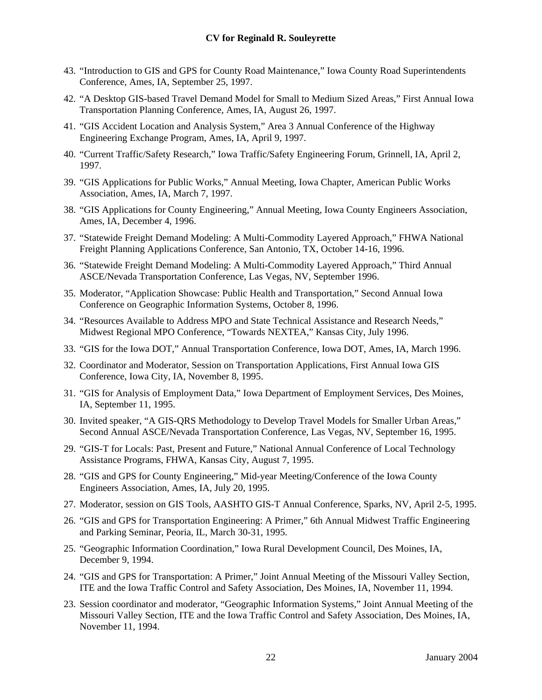- 43. "Introduction to GIS and GPS for County Road Maintenance," Iowa County Road Superintendents Conference, Ames, IA, September 25, 1997.
- 42. "A Desktop GIS-based Travel Demand Model for Small to Medium Sized Areas," First Annual Iowa Transportation Planning Conference, Ames, IA, August 26, 1997.
- 41. "GIS Accident Location and Analysis System," Area 3 Annual Conference of the Highway Engineering Exchange Program, Ames, IA, April 9, 1997.
- 40. "Current Traffic/Safety Research," Iowa Traffic/Safety Engineering Forum, Grinnell, IA, April 2, 1997.
- 39. "GIS Applications for Public Works," Annual Meeting, Iowa Chapter, American Public Works Association, Ames, IA, March 7, 1997.
- 38. "GIS Applications for County Engineering," Annual Meeting, Iowa County Engineers Association, Ames, IA, December 4, 1996.
- 37. "Statewide Freight Demand Modeling: A Multi-Commodity Layered Approach," FHWA National Freight Planning Applications Conference, San Antonio, TX, October 14-16, 1996.
- 36. "Statewide Freight Demand Modeling: A Multi-Commodity Layered Approach," Third Annual ASCE/Nevada Transportation Conference, Las Vegas, NV, September 1996.
- 35. Moderator, "Application Showcase: Public Health and Transportation," Second Annual Iowa Conference on Geographic Information Systems, October 8, 1996.
- 34. "Resources Available to Address MPO and State Technical Assistance and Research Needs," Midwest Regional MPO Conference, "Towards NEXTEA," Kansas City, July 1996.
- 33. "GIS for the Iowa DOT," Annual Transportation Conference, Iowa DOT, Ames, IA, March 1996.
- 32. Coordinator and Moderator, Session on Transportation Applications, First Annual Iowa GIS Conference, Iowa City, IA, November 8, 1995.
- 31. "GIS for Analysis of Employment Data," Iowa Department of Employment Services, Des Moines, IA, September 11, 1995.
- 30. Invited speaker, "A GIS-QRS Methodology to Develop Travel Models for Smaller Urban Areas," Second Annual ASCE/Nevada Transportation Conference, Las Vegas, NV, September 16, 1995.
- 29. "GIS-T for Locals: Past, Present and Future," National Annual Conference of Local Technology Assistance Programs, FHWA, Kansas City, August 7, 1995.
- 28. "GIS and GPS for County Engineering," Mid-year Meeting/Conference of the Iowa County Engineers Association, Ames, IA, July 20, 1995.
- 27. Moderator, session on GIS Tools, AASHTO GIS-T Annual Conference, Sparks, NV, April 2-5, 1995.
- 26. "GIS and GPS for Transportation Engineering: A Primer," 6th Annual Midwest Traffic Engineering and Parking Seminar, Peoria, IL, March 30-31, 1995.
- 25. "Geographic Information Coordination," Iowa Rural Development Council, Des Moines, IA, December 9, 1994.
- 24. "GIS and GPS for Transportation: A Primer," Joint Annual Meeting of the Missouri Valley Section, ITE and the Iowa Traffic Control and Safety Association, Des Moines, IA, November 11, 1994.
- 23. Session coordinator and moderator, "Geographic Information Systems," Joint Annual Meeting of the Missouri Valley Section, ITE and the Iowa Traffic Control and Safety Association, Des Moines, IA, November 11, 1994.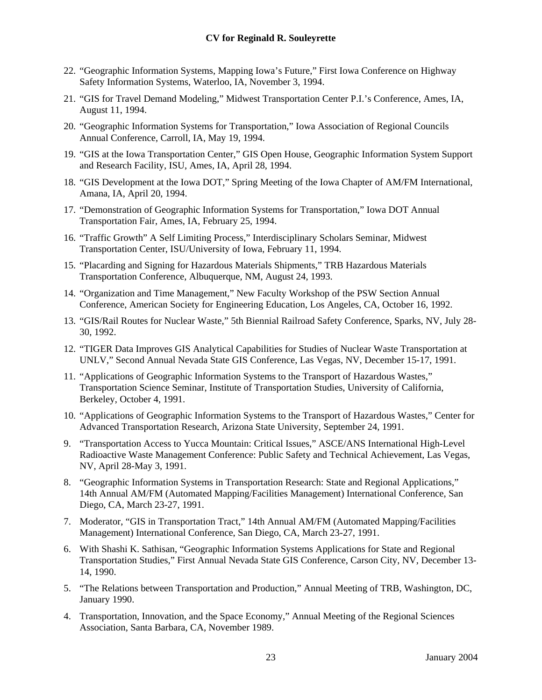- 22. "Geographic Information Systems, Mapping Iowa's Future," First Iowa Conference on Highway Safety Information Systems, Waterloo, IA, November 3, 1994.
- 21. "GIS for Travel Demand Modeling," Midwest Transportation Center P.I.'s Conference, Ames, IA, August 11, 1994.
- 20. "Geographic Information Systems for Transportation," Iowa Association of Regional Councils Annual Conference, Carroll, IA, May 19, 1994.
- 19. "GIS at the Iowa Transportation Center," GIS Open House, Geographic Information System Support and Research Facility, ISU, Ames, IA, April 28, 1994.
- 18. "GIS Development at the Iowa DOT," Spring Meeting of the Iowa Chapter of AM/FM International, Amana, IA, April 20, 1994.
- 17. "Demonstration of Geographic Information Systems for Transportation," Iowa DOT Annual Transportation Fair, Ames, IA, February 25, 1994.
- 16. "Traffic Growth" A Self Limiting Process," Interdisciplinary Scholars Seminar, Midwest Transportation Center, ISU/University of Iowa, February 11, 1994.
- 15. "Placarding and Signing for Hazardous Materials Shipments," TRB Hazardous Materials Transportation Conference, Albuquerque, NM, August 24, 1993.
- 14. "Organization and Time Management," New Faculty Workshop of the PSW Section Annual Conference, American Society for Engineering Education, Los Angeles, CA, October 16, 1992.
- 13. "GIS/Rail Routes for Nuclear Waste," 5th Biennial Railroad Safety Conference, Sparks, NV, July 28- 30, 1992.
- 12. "TIGER Data Improves GIS Analytical Capabilities for Studies of Nuclear Waste Transportation at UNLV," Second Annual Nevada State GIS Conference, Las Vegas, NV, December 15-17, 1991.
- 11. "Applications of Geographic Information Systems to the Transport of Hazardous Wastes," Transportation Science Seminar, Institute of Transportation Studies, University of California, Berkeley, October 4, 1991.
- 10. "Applications of Geographic Information Systems to the Transport of Hazardous Wastes," Center for Advanced Transportation Research, Arizona State University, September 24, 1991.
- 9. "Transportation Access to Yucca Mountain: Critical Issues," ASCE/ANS International High-Level Radioactive Waste Management Conference: Public Safety and Technical Achievement, Las Vegas, NV, April 28-May 3, 1991.
- 8. "Geographic Information Systems in Transportation Research: State and Regional Applications," 14th Annual AM/FM (Automated Mapping/Facilities Management) International Conference, San Diego, CA, March 23-27, 1991.
- 7. Moderator, "GIS in Transportation Tract," 14th Annual AM/FM (Automated Mapping/Facilities Management) International Conference, San Diego, CA, March 23-27, 1991.
- 6. With Shashi K. Sathisan, "Geographic Information Systems Applications for State and Regional Transportation Studies," First Annual Nevada State GIS Conference, Carson City, NV, December 13- 14, 1990.
- 5. "The Relations between Transportation and Production," Annual Meeting of TRB, Washington, DC, January 1990.
- 4. Transportation, Innovation, and the Space Economy," Annual Meeting of the Regional Sciences Association, Santa Barbara, CA, November 1989.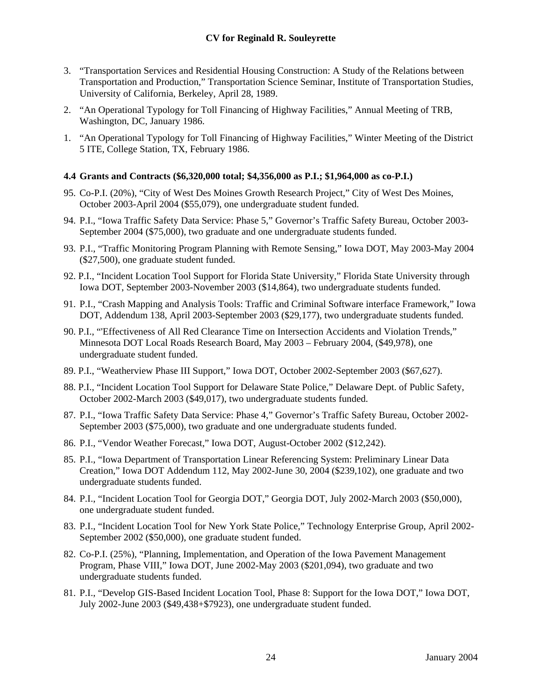- <span id="page-23-0"></span>3. "Transportation Services and Residential Housing Construction: A Study of the Relations between Transportation and Production," Transportation Science Seminar, Institute of Transportation Studies, University of California, Berkeley, April 28, 1989.
- 2. "An Operational Typology for Toll Financing of Highway Facilities," Annual Meeting of TRB, Washington, DC, January 1986.
- 1. "An Operational Typology for Toll Financing of Highway Facilities," Winter Meeting of the District 5 ITE, College Station, TX, February 1986.

## **4.4 Grants and Contracts (\$6,320,000 total; \$4,356,000 as P.I.; \$1,964,000 as co-P.I.)**

- 95. Co-P.I. (20%), "City of West Des Moines Growth Research Project," City of West Des Moines, October 2003-April 2004 (\$55,079), one undergraduate student funded.
- 94. P.I., "Iowa Traffic Safety Data Service: Phase 5," Governor's Traffic Safety Bureau, October 2003- September 2004 (\$75,000), two graduate and one undergraduate students funded.
- 93. P.I., "Traffic Monitoring Program Planning with Remote Sensing," Iowa DOT, May 2003-May 2004 (\$27,500), one graduate student funded.
- 92. P.I., "Incident Location Tool Support for Florida State University," Florida State University through Iowa DOT, September 2003-November 2003 (\$14,864), two undergraduate students funded.
- 91. P.I., "Crash Mapping and Analysis Tools: Traffic and Criminal Software interface Framework," Iowa DOT, Addendum 138, April 2003-September 2003 (\$29,177), two undergraduate students funded.
- 90. P.I., "'Effectiveness of All Red Clearance Time on Intersection Accidents and Violation Trends," Minnesota DOT Local Roads Research Board, May 2003 – February 2004, (\$49,978), one undergraduate student funded.
- 89. P.I., "Weatherview Phase III Support," Iowa DOT, October 2002-September 2003 (\$67,627).
- 88. P.I., "Incident Location Tool Support for Delaware State Police," Delaware Dept. of Public Safety, October 2002-March 2003 (\$49,017), two undergraduate students funded.
- 87. P.I., "Iowa Traffic Safety Data Service: Phase 4," Governor's Traffic Safety Bureau, October 2002- September 2003 (\$75,000), two graduate and one undergraduate students funded.
- 86. P.I., "Vendor Weather Forecast," Iowa DOT, August-October 2002 (\$12,242).
- 85. P.I., "Iowa Department of Transportation Linear Referencing System: Preliminary Linear Data Creation," Iowa DOT Addendum 112, May 2002-June 30, 2004 (\$239,102), one graduate and two undergraduate students funded.
- 84. P.I., "Incident Location Tool for Georgia DOT," Georgia DOT, July 2002-March 2003 (\$50,000), one undergraduate student funded.
- 83. P.I., "Incident Location Tool for New York State Police," Technology Enterprise Group, April 2002- September 2002 (\$50,000), one graduate student funded.
- 82. Co-P.I. (25%), "Planning, Implementation, and Operation of the Iowa Pavement Management Program, Phase VIII," Iowa DOT, June 2002-May 2003 (\$201,094), two graduate and two undergraduate students funded.
- 81. P.I., "Develop GIS-Based Incident Location Tool, Phase 8: Support for the Iowa DOT," Iowa DOT, July 2002-June 2003 (\$49,438+\$7923), one undergraduate student funded.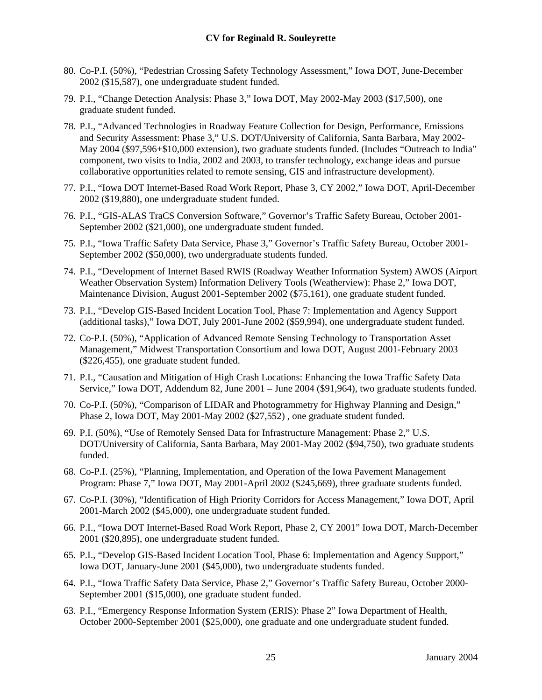- 80. Co-P.I. (50%), "Pedestrian Crossing Safety Technology Assessment," Iowa DOT, June-December 2002 (\$15,587), one undergraduate student funded.
- 79. P.I., "Change Detection Analysis: Phase 3," Iowa DOT, May 2002-May 2003 (\$17,500), one graduate student funded.
- 78. P.I., "Advanced Technologies in Roadway Feature Collection for Design, Performance, Emissions and Security Assessment: Phase 3," U.S. DOT/University of California, Santa Barbara, May 2002- May 2004 (\$97,596+\$10,000 extension), two graduate students funded. (Includes "Outreach to India" component, two visits to India, 2002 and 2003, to transfer technology, exchange ideas and pursue collaborative opportunities related to remote sensing, GIS and infrastructure development).
- 77. P.I., "Iowa DOT Internet-Based Road Work Report, Phase 3, CY 2002," Iowa DOT, April-December 2002 (\$19,880), one undergraduate student funded.
- 76. P.I., "GIS-ALAS TraCS Conversion Software," Governor's Traffic Safety Bureau, October 2001- September 2002 (\$21,000), one undergraduate student funded.
- 75. P.I., "Iowa Traffic Safety Data Service, Phase 3," Governor's Traffic Safety Bureau, October 2001- September 2002 (\$50,000), two undergraduate students funded.
- 74. P.I., "Development of Internet Based RWIS (Roadway Weather Information System) AWOS (Airport Weather Observation System) Information Delivery Tools (Weatherview): Phase 2," Iowa DOT, Maintenance Division, August 2001-September 2002 (\$75,161), one graduate student funded.
- 73. P.I., "Develop GIS-Based Incident Location Tool, Phase 7: Implementation and Agency Support (additional tasks)," Iowa DOT, July 2001-June 2002 (\$59,994), one undergraduate student funded.
- 72. Co-P.I. (50%), "Application of Advanced Remote Sensing Technology to Transportation Asset Management," Midwest Transportation Consortium and Iowa DOT, August 2001-February 2003 (\$226,455), one graduate student funded.
- 71. P.I., "Causation and Mitigation of High Crash Locations: Enhancing the Iowa Traffic Safety Data Service," Iowa DOT, Addendum 82, June 2001 – June 2004 (\$91,964), two graduate students funded.
- 70. Co-P.I. (50%), "Comparison of LIDAR and Photogrammetry for Highway Planning and Design," Phase 2, Iowa DOT, May 2001-May 2002 (\$27,552) , one graduate student funded.
- 69. P.I. (50%), "Use of Remotely Sensed Data for Infrastructure Management: Phase 2," U.S. DOT/University of California, Santa Barbara, May 2001-May 2002 (\$94,750), two graduate students funded.
- 68. Co-P.I. (25%), "Planning, Implementation, and Operation of the Iowa Pavement Management Program: Phase 7," Iowa DOT, May 2001-April 2002 (\$245,669), three graduate students funded.
- 67. Co-P.I. (30%), "Identification of High Priority Corridors for Access Management," Iowa DOT, April 2001-March 2002 (\$45,000), one undergraduate student funded.
- 66. P.I., "Iowa DOT Internet-Based Road Work Report, Phase 2, CY 2001" Iowa DOT, March-December 2001 (\$20,895), one undergraduate student funded.
- 65. P.I., "Develop GIS-Based Incident Location Tool, Phase 6: Implementation and Agency Support," Iowa DOT, January-June 2001 (\$45,000), two undergraduate students funded.
- 64. P.I., "Iowa Traffic Safety Data Service, Phase 2," Governor's Traffic Safety Bureau, October 2000- September 2001 (\$15,000), one graduate student funded.
- 63. P.I., "Emergency Response Information System (ERIS): Phase 2" Iowa Department of Health, October 2000-September 2001 (\$25,000), one graduate and one undergraduate student funded.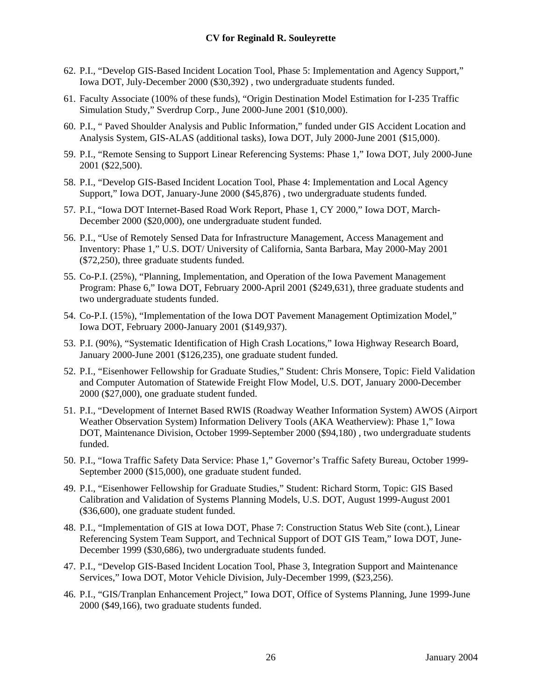- 62. P.I., "Develop GIS-Based Incident Location Tool, Phase 5: Implementation and Agency Support," Iowa DOT, July-December 2000 (\$30,392) , two undergraduate students funded.
- 61. Faculty Associate (100% of these funds), "Origin Destination Model Estimation for I-235 Traffic Simulation Study," Sverdrup Corp., June 2000-June 2001 (\$10,000).
- 60. P.I., " Paved Shoulder Analysis and Public Information," funded under GIS Accident Location and Analysis System, GIS-ALAS (additional tasks), Iowa DOT, July 2000-June 2001 (\$15,000).
- 59. P.I., "Remote Sensing to Support Linear Referencing Systems: Phase 1," Iowa DOT, July 2000-June 2001 (\$22,500).
- 58. P.I., "Develop GIS-Based Incident Location Tool, Phase 4: Implementation and Local Agency Support," Iowa DOT, January-June 2000 (\$45,876) , two undergraduate students funded.
- 57. P.I., "Iowa DOT Internet-Based Road Work Report, Phase 1, CY 2000," Iowa DOT, March-December 2000 (\$20,000), one undergraduate student funded.
- 56. P.I., "Use of Remotely Sensed Data for Infrastructure Management, Access Management and Inventory: Phase 1," U.S. DOT/ University of California, Santa Barbara, May 2000-May 2001 (\$72,250), three graduate students funded.
- 55. Co-P.I. (25%), "Planning, Implementation, and Operation of the Iowa Pavement Management Program: Phase 6," Iowa DOT, February 2000-April 2001 (\$249,631), three graduate students and two undergraduate students funded.
- 54. Co-P.I. (15%), "Implementation of the Iowa DOT Pavement Management Optimization Model," Iowa DOT, February 2000-January 2001 (\$149,937).
- 53. P.I. (90%), "Systematic Identification of High Crash Locations," Iowa Highway Research Board, January 2000-June 2001 (\$126,235), one graduate student funded.
- 52. P.I., "Eisenhower Fellowship for Graduate Studies," Student: Chris Monsere, Topic: Field Validation and Computer Automation of Statewide Freight Flow Model, U.S. DOT, January 2000-December 2000 (\$27,000), one graduate student funded.
- 51. P.I., "Development of Internet Based RWIS (Roadway Weather Information System) AWOS (Airport Weather Observation System) Information Delivery Tools (AKA Weatherview): Phase 1," Iowa DOT, Maintenance Division, October 1999-September 2000 (\$94,180) , two undergraduate students funded.
- 50. P.I., "Iowa Traffic Safety Data Service: Phase 1," Governor's Traffic Safety Bureau, October 1999- September 2000 (\$15,000), one graduate student funded.
- 49. P.I., "Eisenhower Fellowship for Graduate Studies," Student: Richard Storm, Topic: GIS Based Calibration and Validation of Systems Planning Models, U.S. DOT, August 1999-August 2001 (\$36,600), one graduate student funded.
- 48. P.I., "Implementation of GIS at Iowa DOT, Phase 7: Construction Status Web Site (cont.), Linear Referencing System Team Support, and Technical Support of DOT GIS Team," Iowa DOT, June-December 1999 (\$30,686), two undergraduate students funded.
- 47. P.I., "Develop GIS-Based Incident Location Tool, Phase 3, Integration Support and Maintenance Services," Iowa DOT, Motor Vehicle Division, July-December 1999, (\$23,256).
- 46. P.I., "GIS/Tranplan Enhancement Project," Iowa DOT, Office of Systems Planning, June 1999-June 2000 (\$49,166), two graduate students funded.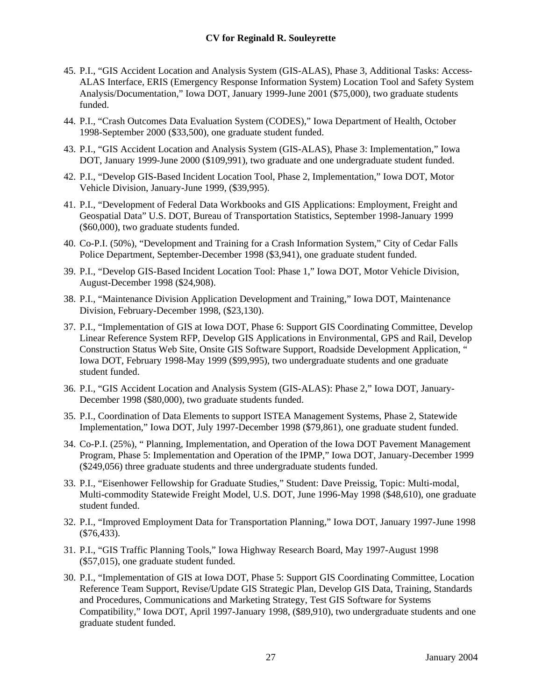#### **CV for Reginald R. Souleyrette**

- 45. P.I., "GIS Accident Location and Analysis System (GIS-ALAS), Phase 3, Additional Tasks: Access-ALAS Interface, ERIS (Emergency Response Information System) Location Tool and Safety System Analysis/Documentation," Iowa DOT, January 1999-June 2001 (\$75,000), two graduate students funded.
- 44. P.I., "Crash Outcomes Data Evaluation System (CODES)," Iowa Department of Health, October 1998-September 2000 (\$33,500), one graduate student funded.
- 43. P.I., "GIS Accident Location and Analysis System (GIS-ALAS), Phase 3: Implementation," Iowa DOT, January 1999-June 2000 (\$109,991), two graduate and one undergraduate student funded.
- 42. P.I., "Develop GIS-Based Incident Location Tool, Phase 2, Implementation," Iowa DOT, Motor Vehicle Division, January-June 1999, (\$39,995).
- 41. P.I., "Development of Federal Data Workbooks and GIS Applications: Employment, Freight and Geospatial Data" U.S. DOT, Bureau of Transportation Statistics, September 1998-January 1999 (\$60,000), two graduate students funded.
- 40. Co-P.I. (50%), "Development and Training for a Crash Information System," City of Cedar Falls Police Department, September-December 1998 (\$3,941), one graduate student funded.
- 39. P.I., "Develop GIS-Based Incident Location Tool: Phase 1," Iowa DOT, Motor Vehicle Division, August-December 1998 (\$24,908).
- 38. P.I., "Maintenance Division Application Development and Training," Iowa DOT, Maintenance Division, February-December 1998, (\$23,130).
- 37. P.I., "Implementation of GIS at Iowa DOT, Phase 6: Support GIS Coordinating Committee, Develop Linear Reference System RFP, Develop GIS Applications in Environmental, GPS and Rail, Develop Construction Status Web Site, Onsite GIS Software Support, Roadside Development Application, " Iowa DOT, February 1998-May 1999 (\$99,995), two undergraduate students and one graduate student funded.
- 36. P.I., "GIS Accident Location and Analysis System (GIS-ALAS): Phase 2," Iowa DOT, January-December 1998 (\$80,000), two graduate students funded.
- 35. P.I., Coordination of Data Elements to support ISTEA Management Systems, Phase 2, Statewide Implementation," Iowa DOT, July 1997-December 1998 (\$79,861), one graduate student funded.
- 34. Co-P.I. (25%), " Planning, Implementation, and Operation of the Iowa DOT Pavement Management Program, Phase 5: Implementation and Operation of the IPMP," Iowa DOT, January-December 1999 (\$249,056) three graduate students and three undergraduate students funded.
- 33. P.I., "Eisenhower Fellowship for Graduate Studies," Student: Dave Preissig, Topic: Multi-modal, Multi-commodity Statewide Freight Model, U.S. DOT, June 1996-May 1998 (\$48,610), one graduate student funded.
- 32. P.I., "Improved Employment Data for Transportation Planning," Iowa DOT, January 1997-June 1998 (\$76,433).
- 31. P.I., "GIS Traffic Planning Tools," Iowa Highway Research Board, May 1997-August 1998 (\$57,015), one graduate student funded.
- 30. P.I., "Implementation of GIS at Iowa DOT, Phase 5: Support GIS Coordinating Committee, Location Reference Team Support, Revise/Update GIS Strategic Plan, Develop GIS Data, Training, Standards and Procedures, Communications and Marketing Strategy, Test GIS Software for Systems Compatibility," Iowa DOT, April 1997-January 1998, (\$89,910), two undergraduate students and one graduate student funded.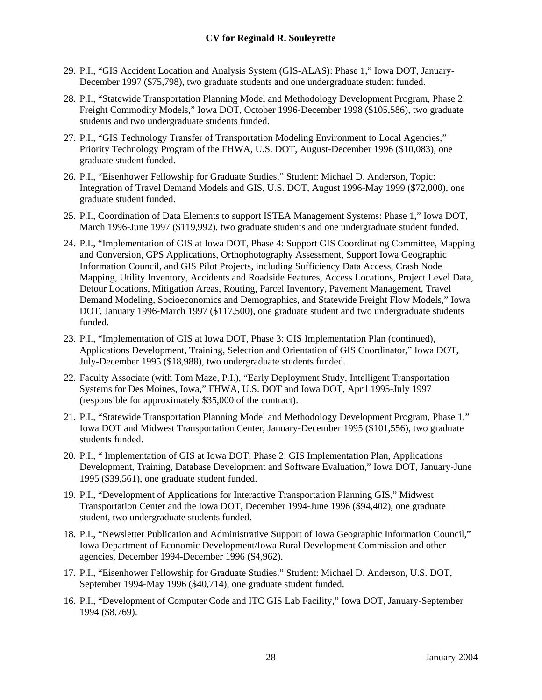- 29. P.I., "GIS Accident Location and Analysis System (GIS-ALAS): Phase 1," Iowa DOT, January-December 1997 (\$75,798), two graduate students and one undergraduate student funded.
- 28. P.I., "Statewide Transportation Planning Model and Methodology Development Program, Phase 2: Freight Commodity Models," Iowa DOT, October 1996-December 1998 (\$105,586), two graduate students and two undergraduate students funded.
- 27. P.I., "GIS Technology Transfer of Transportation Modeling Environment to Local Agencies," Priority Technology Program of the FHWA, U.S. DOT, August-December 1996 (\$10,083), one graduate student funded.
- 26. P.I., "Eisenhower Fellowship for Graduate Studies," Student: Michael D. Anderson, Topic: Integration of Travel Demand Models and GIS, U.S. DOT, August 1996-May 1999 (\$72,000), one graduate student funded.
- 25. P.I., Coordination of Data Elements to support ISTEA Management Systems: Phase 1," Iowa DOT, March 1996-June 1997 (\$119,992), two graduate students and one undergraduate student funded.
- 24. P.I., "Implementation of GIS at Iowa DOT, Phase 4: Support GIS Coordinating Committee, Mapping and Conversion, GPS Applications, Orthophotography Assessment, Support Iowa Geographic Information Council, and GIS Pilot Projects, including Sufficiency Data Access, Crash Node Mapping, Utility Inventory, Accidents and Roadside Features, Access Locations, Project Level Data, Detour Locations, Mitigation Areas, Routing, Parcel Inventory, Pavement Management, Travel Demand Modeling, Socioeconomics and Demographics, and Statewide Freight Flow Models," Iowa DOT, January 1996-March 1997 (\$117,500), one graduate student and two undergraduate students funded.
- 23. P.I., "Implementation of GIS at Iowa DOT, Phase 3: GIS Implementation Plan (continued), Applications Development, Training, Selection and Orientation of GIS Coordinator," Iowa DOT, July-December 1995 (\$18,988), two undergraduate students funded.
- 22. Faculty Associate (with Tom Maze, P.I.), "Early Deployment Study, Intelligent Transportation Systems for Des Moines, Iowa," FHWA, U.S. DOT and Iowa DOT, April 1995-July 1997 (responsible for approximately \$35,000 of the contract).
- 21. P.I., "Statewide Transportation Planning Model and Methodology Development Program, Phase 1," Iowa DOT and Midwest Transportation Center, January-December 1995 (\$101,556), two graduate students funded.
- 20. P.I., " Implementation of GIS at Iowa DOT, Phase 2: GIS Implementation Plan, Applications Development, Training, Database Development and Software Evaluation," Iowa DOT, January-June 1995 (\$39,561), one graduate student funded.
- 19. P.I., "Development of Applications for Interactive Transportation Planning GIS," Midwest Transportation Center and the Iowa DOT, December 1994-June 1996 (\$94,402), one graduate student, two undergraduate students funded.
- 18. P.I., "Newsletter Publication and Administrative Support of Iowa Geographic Information Council," Iowa Department of Economic Development/Iowa Rural Development Commission and other agencies, December 1994-December 1996 (\$4,962).
- 17. P.I., "Eisenhower Fellowship for Graduate Studies," Student: Michael D. Anderson, U.S. DOT, September 1994-May 1996 (\$40,714), one graduate student funded.
- 16. P.I., "Development of Computer Code and ITC GIS Lab Facility," Iowa DOT, January-September 1994 (\$8,769).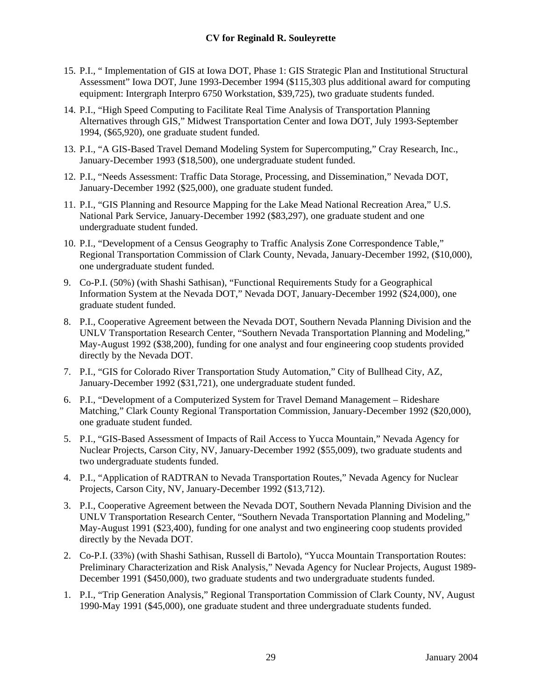- 15. P.I., " Implementation of GIS at Iowa DOT, Phase 1: GIS Strategic Plan and Institutional Structural Assessment" Iowa DOT, June 1993-December 1994 (\$115,303 plus additional award for computing equipment: Intergraph Interpro 6750 Workstation, \$39,725), two graduate students funded.
- 14. P.I., "High Speed Computing to Facilitate Real Time Analysis of Transportation Planning Alternatives through GIS," Midwest Transportation Center and Iowa DOT, July 1993-September 1994, (\$65,920), one graduate student funded.
- 13. P.I., "A GIS-Based Travel Demand Modeling System for Supercomputing," Cray Research, Inc., January-December 1993 (\$18,500), one undergraduate student funded.
- 12. P.I., "Needs Assessment: Traffic Data Storage, Processing, and Dissemination," Nevada DOT, January-December 1992 (\$25,000), one graduate student funded.
- 11. P.I., "GIS Planning and Resource Mapping for the Lake Mead National Recreation Area," U.S. National Park Service, January-December 1992 (\$83,297), one graduate student and one undergraduate student funded.
- 10. P.I., "Development of a Census Geography to Traffic Analysis Zone Correspondence Table," Regional Transportation Commission of Clark County, Nevada, January-December 1992, (\$10,000), one undergraduate student funded.
- 9. Co-P.I. (50%) (with Shashi Sathisan), "Functional Requirements Study for a Geographical Information System at the Nevada DOT," Nevada DOT, January-December 1992 (\$24,000), one graduate student funded.
- 8. P.I., Cooperative Agreement between the Nevada DOT, Southern Nevada Planning Division and the UNLV Transportation Research Center, "Southern Nevada Transportation Planning and Modeling," May-August 1992 (\$38,200), funding for one analyst and four engineering coop students provided directly by the Nevada DOT.
- 7. P.I., "GIS for Colorado River Transportation Study Automation," City of Bullhead City, AZ, January-December 1992 (\$31,721), one undergraduate student funded.
- 6. P.I., "Development of a Computerized System for Travel Demand Management Rideshare Matching," Clark County Regional Transportation Commission, January-December 1992 (\$20,000), one graduate student funded.
- 5. P.I., "GIS-Based Assessment of Impacts of Rail Access to Yucca Mountain," Nevada Agency for Nuclear Projects, Carson City, NV, January-December 1992 (\$55,009), two graduate students and two undergraduate students funded.
- 4. P.I., "Application of RADTRAN to Nevada Transportation Routes," Nevada Agency for Nuclear Projects, Carson City, NV, January-December 1992 (\$13,712).
- 3. P.I., Cooperative Agreement between the Nevada DOT, Southern Nevada Planning Division and the UNLV Transportation Research Center, "Southern Nevada Transportation Planning and Modeling," May-August 1991 (\$23,400), funding for one analyst and two engineering coop students provided directly by the Nevada DOT.
- 2. Co-P.I. (33%) (with Shashi Sathisan, Russell di Bartolo), "Yucca Mountain Transportation Routes: Preliminary Characterization and Risk Analysis," Nevada Agency for Nuclear Projects, August 1989- December 1991 (\$450,000), two graduate students and two undergraduate students funded.
- 1. P.I., "Trip Generation Analysis," Regional Transportation Commission of Clark County, NV, August 1990-May 1991 (\$45,000), one graduate student and three undergraduate students funded.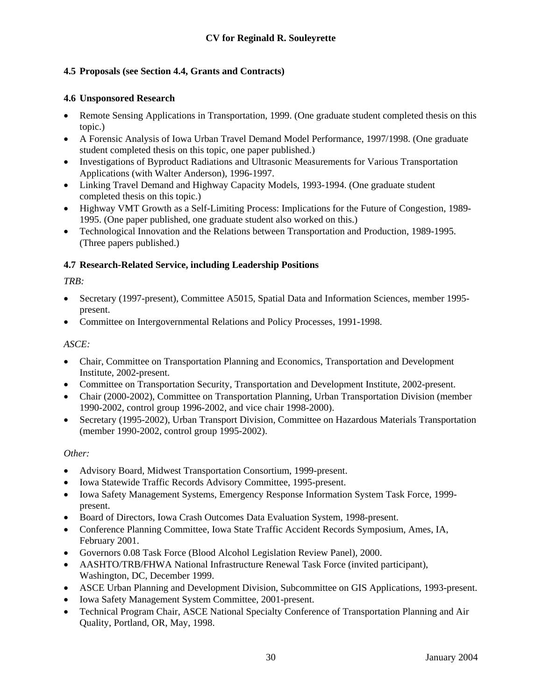# <span id="page-29-0"></span>**4.5 Proposals (see Section 4.4, Grants and Contracts)**

## **4.6 Unsponsored Research**

- Remote Sensing Applications in Transportation, 1999. (One graduate student completed thesis on this topic.)
- A Forensic Analysis of Iowa Urban Travel Demand Model Performance, 1997/1998. (One graduate student completed thesis on this topic, one paper published.)
- Investigations of Byproduct Radiations and Ultrasonic Measurements for Various Transportation Applications (with Walter Anderson), 1996-1997.
- Linking Travel Demand and Highway Capacity Models, 1993-1994. (One graduate student completed thesis on this topic.)
- Highway VMT Growth as a Self-Limiting Process: Implications for the Future of Congestion, 1989- 1995. (One paper published, one graduate student also worked on this.)
- Technological Innovation and the Relations between Transportation and Production, 1989-1995. (Three papers published.)

## **4.7 Research-Related Service, including Leadership Positions**

## *TRB:*

- Secretary (1997-present), Committee A5015, Spatial Data and Information Sciences, member 1995present.
- Committee on Intergovernmental Relations and Policy Processes, 1991-1998.

## *ASCE:*

- Chair, Committee on Transportation Planning and Economics, Transportation and Development Institute, 2002-present.
- Committee on Transportation Security, Transportation and Development Institute, 2002-present.
- Chair (2000-2002), Committee on Transportation Planning, Urban Transportation Division (member 1990-2002, control group 1996-2002, and vice chair 1998-2000).
- Secretary (1995-2002), Urban Transport Division, Committee on Hazardous Materials Transportation (member 1990-2002, control group 1995-2002).

#### *Other:*

- Advisory Board, Midwest Transportation Consortium, 1999-present.
- Iowa Statewide Traffic Records Advisory Committee, 1995-present.
- Iowa Safety Management Systems, Emergency Response Information System Task Force, 1999 present.
- Board of Directors, Iowa Crash Outcomes Data Evaluation System, 1998-present.
- Conference Planning Committee, Iowa State Traffic Accident Records Symposium, Ames, IA, February 2001.
- Governors 0.08 Task Force (Blood Alcohol Legislation Review Panel), 2000.
- AASHTO/TRB/FHWA National Infrastructure Renewal Task Force (invited participant), Washington, DC, December 1999.
- ASCE Urban Planning and Development Division, Subcommittee on GIS Applications, 1993-present.
- Iowa Safety Management System Committee, 2001-present.
- Technical Program Chair, ASCE National Specialty Conference of Transportation Planning and Air Quality, Portland, OR, May, 1998.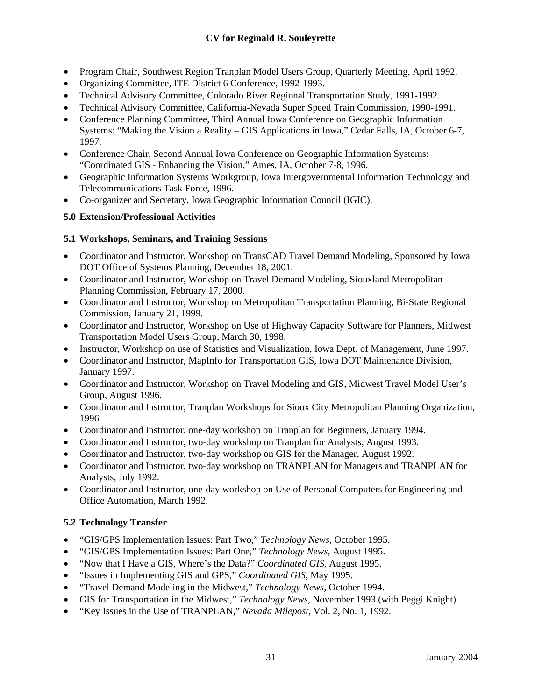- <span id="page-30-0"></span>• Program Chair, Southwest Region Tranplan Model Users Group, Quarterly Meeting, April 1992.
- Organizing Committee, ITE District 6 Conference, 1992-1993.
- Technical Advisory Committee, Colorado River Regional Transportation Study, 1991-1992.
- Technical Advisory Committee, California-Nevada Super Speed Train Commission, 1990-1991.
- Conference Planning Committee, Third Annual Iowa Conference on Geographic Information Systems: "Making the Vision a Reality – GIS Applications in Iowa," Cedar Falls, IA, October 6-7, 1997.
- Conference Chair, Second Annual Iowa Conference on Geographic Information Systems: "Coordinated GIS - Enhancing the Vision," Ames, IA, October 7-8, 1996.
- Geographic Information Systems Workgroup, Iowa Intergovernmental Information Technology and Telecommunications Task Force, 1996.
- Co-organizer and Secretary, Iowa Geographic Information Council (IGIC).

# **5.0 Extension/Professional Activities**

# **5.1 Workshops, Seminars, and Training Sessions**

- Coordinator and Instructor, Workshop on TransCAD Travel Demand Modeling, Sponsored by Iowa DOT Office of Systems Planning, December 18, 2001.
- Coordinator and Instructor, Workshop on Travel Demand Modeling, Siouxland Metropolitan Planning Commission, February 17, 2000.
- Coordinator and Instructor, Workshop on Metropolitan Transportation Planning, Bi-State Regional Commission, January 21, 1999.
- Coordinator and Instructor, Workshop on Use of Highway Capacity Software for Planners, Midwest Transportation Model Users Group, March 30, 1998.
- Instructor, Workshop on use of Statistics and Visualization, Iowa Dept. of Management, June 1997.
- Coordinator and Instructor, MapInfo for Transportation GIS, Iowa DOT Maintenance Division, January 1997.
- Coordinator and Instructor, Workshop on Travel Modeling and GIS, Midwest Travel Model User's Group, August 1996.
- Coordinator and Instructor, Tranplan Workshops for Sioux City Metropolitan Planning Organization, 1996
- Coordinator and Instructor, one-day workshop on Tranplan for Beginners, January 1994.
- Coordinator and Instructor, two-day workshop on Tranplan for Analysts, August 1993.
- Coordinator and Instructor, two-day workshop on GIS for the Manager, August 1992.
- Coordinator and Instructor, two-day workshop on TRANPLAN for Managers and TRANPLAN for Analysts, July 1992.
- Coordinator and Instructor, one-day workshop on Use of Personal Computers for Engineering and Office Automation, March 1992.

# **5.2 Technology Transfer**

- "GIS/GPS Implementation Issues: Part Two," *Technology News*, October 1995.
- "GIS/GPS Implementation Issues: Part One," *Technology News*, August 1995.
- "Now that I Have a GIS, Where's the Data?" *Coordinated GIS*, August 1995.
- "Issues in Implementing GIS and GPS," *Coordinated GIS*, May 1995.
- "Travel Demand Modeling in the Midwest," *Technology News*, October 1994.
- GIS for Transportation in the Midwest," *Technology News*, November 1993 (with Peggi Knight).
- "Key Issues in the Use of TRANPLAN," *Nevada Milepost*, Vol. 2, No. 1, 1992.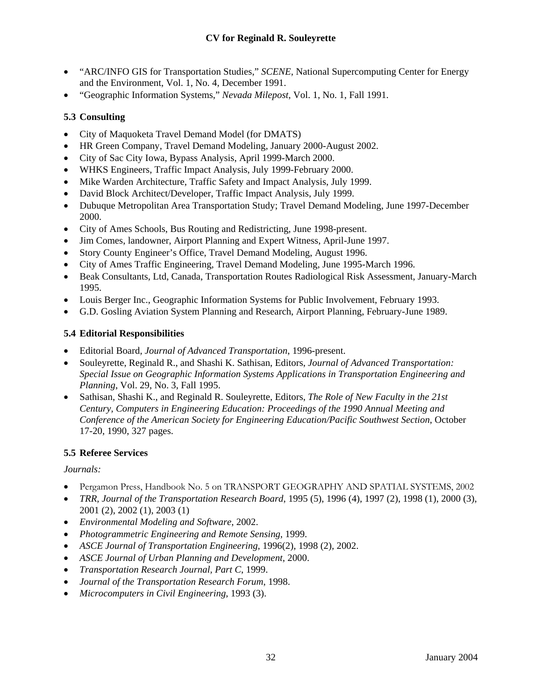- <span id="page-31-0"></span>• "ARC/INFO GIS for Transportation Studies," *SCENE*, National Supercomputing Center for Energy and the Environment, Vol. 1, No. 4, December 1991.
- "Geographic Information Systems," *Nevada Milepost*, Vol. 1, No. 1, Fall 1991.

## **5.3 Consulting**

- City of Maquoketa Travel Demand Model (for DMATS)
- HR Green Company, Travel Demand Modeling, January 2000-August 2002.
- City of Sac City Iowa, Bypass Analysis, April 1999-March 2000.
- WHKS Engineers, Traffic Impact Analysis, July 1999-February 2000.
- Mike Warden Architecture, Traffic Safety and Impact Analysis, July 1999.
- David Block Architect/Developer, Traffic Impact Analysis, July 1999.
- Dubuque Metropolitan Area Transportation Study; Travel Demand Modeling, June 1997-December 2000.
- City of Ames Schools, Bus Routing and Redistricting, June 1998-present.
- Jim Comes, landowner, Airport Planning and Expert Witness, April-June 1997.
- Story County Engineer's Office, Travel Demand Modeling, August 1996.
- City of Ames Traffic Engineering, Travel Demand Modeling, June 1995-March 1996.
- Beak Consultants, Ltd, Canada, Transportation Routes Radiological Risk Assessment, January-March 1995.
- Louis Berger Inc., Geographic Information Systems for Public Involvement, February 1993.
- G.D. Gosling Aviation System Planning and Research, Airport Planning, February-June 1989.

## **5.4 Editorial Responsibilities**

- Editorial Board, *Journal of Advanced Transportation*, 1996-present.
- Souleyrette, Reginald R., and Shashi K. Sathisan, Editors, *Journal of Advanced Transportation: Special Issue on Geographic Information Systems Applications in Transportation Engineering and Planning*, Vol. 29, No. 3, Fall 1995.
- Sathisan, Shashi K., and Reginald R. Souleyrette, Editors, *The Role of New Faculty in the 21st Century, Computers in Engineering Education: Proceedings of the 1990 Annual Meeting and Conference of the American Society for Engineering Education/Pacific Southwest Section*, October 17-20, 1990, 327 pages.

#### **5.5 Referee Services**

#### *Journals:*

- Pergamon Press, Handbook No. 5 on TRANSPORT GEOGRAPHY AND SPATIAL SYSTEMS, 2002
- *TRR, Journal of the Transportation Research Board*, 1995 (5), 1996 (4), 1997 (2), 1998 (1), 2000 (3), 2001 (2), 2002 (1), 2003 (1)
- *Environmental Modeling and Software*, 2002.
- *Photogrammetric Engineering and Remote Sensing*, 1999.
- *ASCE Journal of Transportation Engineering*, 1996(2), 1998 (2), 2002.
- *ASCE Journal of Urban Planning and Development*, 2000.
- *Transportation Research Journal, Part C*, 1999.
- *Journal of the Transportation Research Forum*, 1998.
- *Microcomputers in Civil Engineering*, 1993 (3).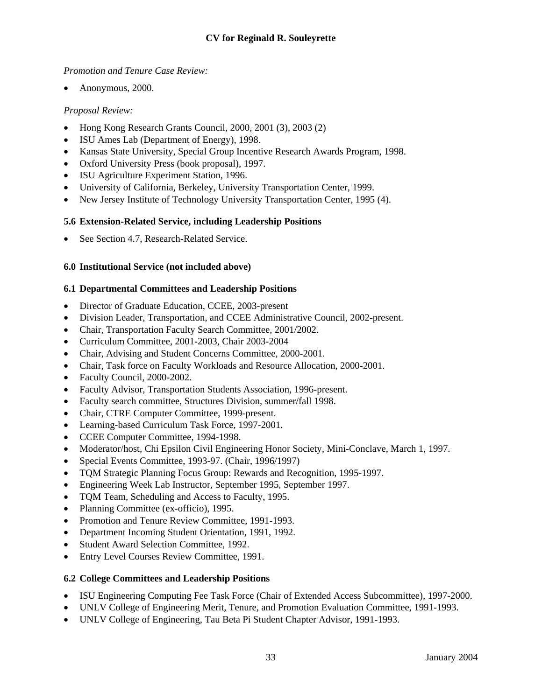## <span id="page-32-0"></span>*Promotion and Tenure Case Review:*

• Anonymous, 2000.

## *Proposal Review:*

- Hong Kong Research Grants Council, 2000, 2001 (3), 2003 (2)
- ISU Ames Lab (Department of Energy), 1998.
- Kansas State University, Special Group Incentive Research Awards Program, 1998.
- Oxford University Press (book proposal), 1997.
- ISU Agriculture Experiment Station, 1996.
- University of California, Berkeley, University Transportation Center, 1999.
- New Jersey Institute of Technology University Transportation Center, 1995 (4).

## **5.6 Extension-Related Service, including Leadership Positions**

• See Section 4.7, Research-Related Service.

## **6.0 Institutional Service (not included above)**

## **6.1 Departmental Committees and Leadership Positions**

- Director of Graduate Education, CCEE, 2003-present
- Division Leader, Transportation, and CCEE Administrative Council, 2002-present.
- Chair, Transportation Faculty Search Committee, 2001/2002.
- Curriculum Committee, 2001-2003, Chair 2003-2004
- Chair, Advising and Student Concerns Committee, 2000-2001.
- Chair, Task force on Faculty Workloads and Resource Allocation, 2000-2001.
- Faculty Council, 2000-2002.
- Faculty Advisor, Transportation Students Association, 1996-present.
- Faculty search committee, Structures Division, summer/fall 1998.
- Chair, CTRE Computer Committee, 1999-present.
- Learning-based Curriculum Task Force, 1997-2001.
- CCEE Computer Committee, 1994-1998.
- Moderator/host, Chi Epsilon Civil Engineering Honor Society, Mini-Conclave, March 1, 1997.
- Special Events Committee, 1993-97. (Chair, 1996/1997)
- TQM Strategic Planning Focus Group: Rewards and Recognition, 1995-1997.
- Engineering Week Lab Instructor, September 1995, September 1997.
- TQM Team, Scheduling and Access to Faculty, 1995.
- Planning Committee (ex-officio), 1995.
- Promotion and Tenure Review Committee, 1991-1993.
- Department Incoming Student Orientation, 1991, 1992.
- Student Award Selection Committee, 1992.
- Entry Level Courses Review Committee, 1991.

#### **6.2 College Committees and Leadership Positions**

- ISU Engineering Computing Fee Task Force (Chair of Extended Access Subcommittee), 1997-2000.
- UNLV College of Engineering Merit, Tenure, and Promotion Evaluation Committee, 1991-1993.
- UNLV College of Engineering, Tau Beta Pi Student Chapter Advisor, 1991-1993.